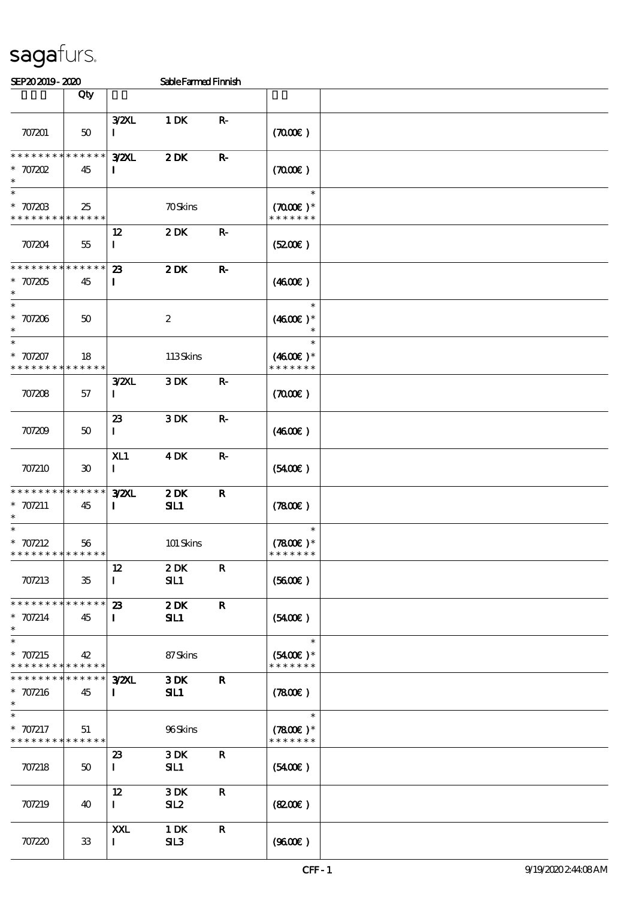| SEP202019-2020                                           |                     |                                            | SableFarmed Finnish |                 |                                                 |  |
|----------------------------------------------------------|---------------------|--------------------------------------------|---------------------|-----------------|-------------------------------------------------|--|
|                                                          | Qty                 |                                            |                     |                 |                                                 |  |
| 707201                                                   | 50                  | <b>3/2XL</b><br>1                          | 1 DK                | ${\bf R} \cdot$ | (700)                                           |  |
| * * * * * * * *<br>$*$ 707202                            | * * * * * *<br>45   | <b>3/2XL</b><br>$\mathbf{I}$               | $2$ DK              | ${\bf R} \cdot$ | (700)                                           |  |
| $\ast$<br>$* 707203$<br>* * * * * * * * * * * * * *      | 25                  |                                            | <b>70Skins</b>      |                 | $\ast$<br>$(7000\varepsilon)*$<br>* * * * * * * |  |
| 707204                                                   | $55\,$              | 12<br>$\mathbf I$                          | 2DK                 | $\mathbf{R}$    | (S200E)                                         |  |
| * * * * * * * *<br>$* 707205$                            | * * * * * *<br>45   | 23<br>$\mathbf{I}$                         | 2DK                 | $\mathbf R$     | (460E)                                          |  |
| $\overline{\ast}$<br>$^\ast$ 707206<br>$\ast$            | $50^{\circ}$        |                                            | $\boldsymbol{2}$    |                 | $\ast$<br>$(4600)$ *<br>$\ast$                  |  |
| $\ast$<br>$* 707207$<br>* * * * * * * *                  | 18<br>* * * * * *   |                                            | 113Skins            |                 | $\ast$<br>$(4600)$ *<br>* * * * * * *           |  |
| 707208                                                   | 57                  | $3$ <sub>Z</sub> $M$<br>$\bf I$            | 3DK                 | $\mathbf{R}$    | (700)                                           |  |
| 707209                                                   | 50                  | $\boldsymbol{\mathcal{Z}}$<br>$\mathbf{I}$ | 3DK                 | $\mathbf{R}$    | (460E)                                          |  |
| 707210                                                   | 30                  | X11<br>$\mathbf{I}$                        | <b>4DK</b>          | $\mathbf{R}$    | (5400)                                          |  |
| * * * * * * * *<br>$* 707211$<br>$\ast$                  | * * * * * *<br>45   | <b>3/2XL</b><br>$\bf{I}$                   | 2DK<br>SL1          | $\mathbf R$     | (7800)                                          |  |
| * $707212$<br>* * * * * * * * <mark>* * * * * * *</mark> | 56                  |                                            | 101 Skins           |                 | $\ast$<br>$(7800)$ *<br>* * * * * * *           |  |
| 707213                                                   | 35                  | 12<br>$\bf{I}$                             | 2DK<br>SL1          | $\mathbf R$     | (5600)                                          |  |
| * * * * * * * * * * * * * *<br>* $707214$<br>$\ast$      | 45                  | 23<br>$\mathbf{I}$                         | 2DK<br>SL1          | $\mathbf R$     | (5400)                                          |  |
| $\ast$<br>$* 707215$<br>* * * * * * * * * * * * * *      | 42                  |                                            | 87Skins             |                 | $\ast$<br>$(5400)$ *<br>* * * * * * *           |  |
| * * * * * * * *<br>* 707216<br>$\ast$                    | * * * * * *  <br>45 | <b>3/2XL</b><br>$\mathbf I$                | 3DK<br>SIL1         | $\mathbf{R}$    | (7800)                                          |  |
| $\ast$<br>* 707217<br>* * * * * * * * * * * * * *        | 51                  |                                            | 96Skins             |                 | $\ast$<br>$(7800)$ *<br>* * * * * * *           |  |
| 707218                                                   | 50                  | 23<br>$\mathbf{I}$                         | 3DK<br>SL1          | $\mathbf R$     | $(5400\varepsilon)$                             |  |
| 707219                                                   | 40                  | 12<br>$\mathbf{I}$                         | 3DK<br>SL2          | $\mathbf R$     | (820)                                           |  |
| 707220                                                   | 33                  | XXL<br>$\bf{I}$                            | 1 DK<br>SL3         | $\mathbf R$     | (960E)                                          |  |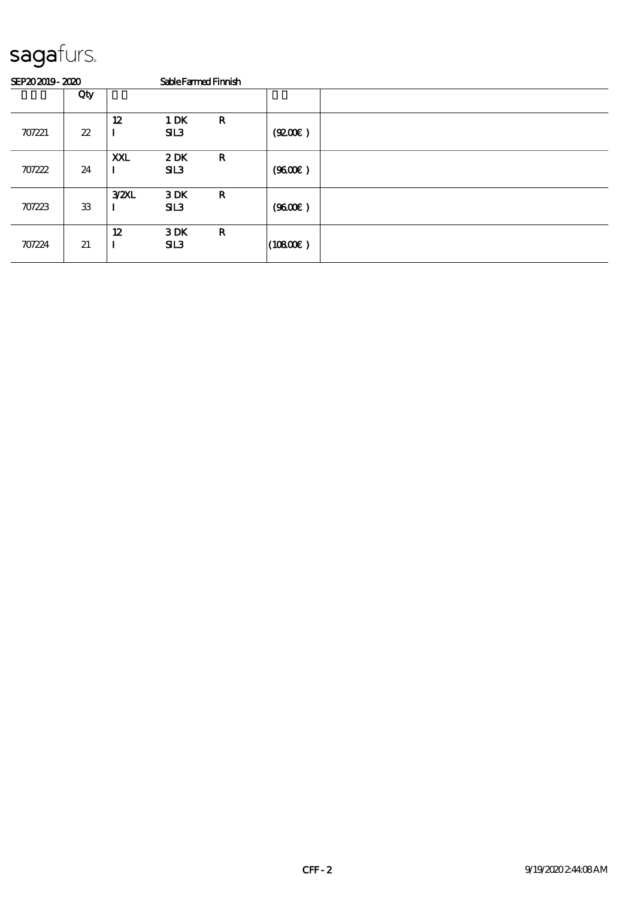| SEP202019-2020 |     |      | Sable Farmed Finnish |             |                      |  |
|----------------|-----|------|----------------------|-------------|----------------------|--|
|                | Qty |      |                      |             |                      |  |
| 707221         | 22  | 12   | 1 DK<br>SL3          | $\mathbf R$ | (Q200E)              |  |
| 707222         | 24  | XXL  | 2DK<br>SL3           | $\mathbf R$ | (9600)               |  |
| 707223         | 33  | 32XL | 3DK<br>SL3           | $\mathbf R$ | (9600)               |  |
| 707224         | 21  | 12   | 3DK<br>SL3           | $\mathbf R$ | $(10800\varepsilon)$ |  |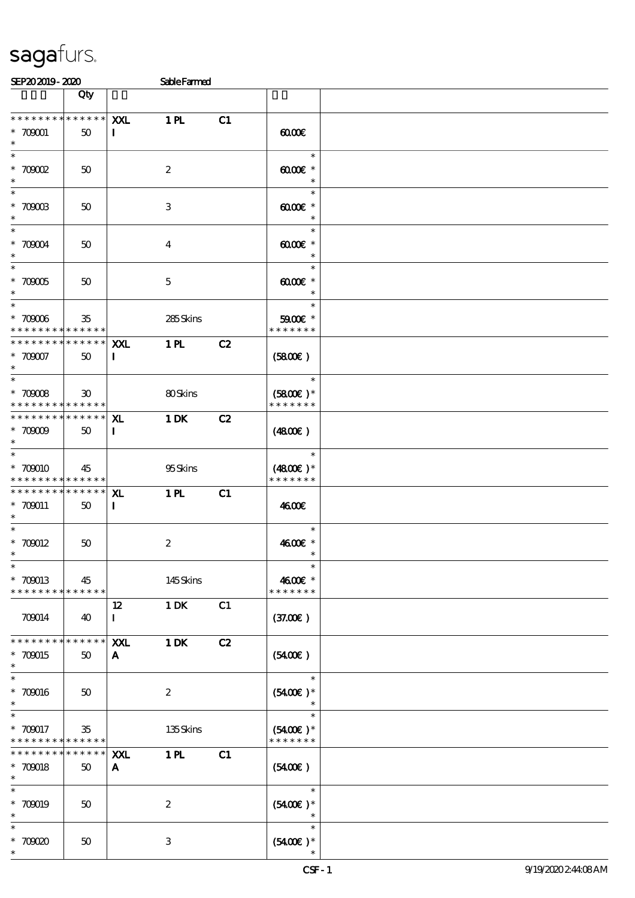| SEP202019-2020                                                      |                   |                           | <b>Sable Farmed</b> |    |                                         |  |
|---------------------------------------------------------------------|-------------------|---------------------------|---------------------|----|-----------------------------------------|--|
|                                                                     | Qty               |                           |                     |    |                                         |  |
| * * * * * * * * * * * * * * *<br>$* 700001$<br>$\ast$               | 50                | XXL<br>$\mathbf{I}$       | 1 <sub>H</sub>      | C1 | $\omega$                                |  |
| $\ast$<br>$*$ 7000 $\Omega$<br>$\ast$                               | 50                |                           | $\boldsymbol{2}$    |    | $\ast$<br>$\omega$ occase $*$<br>$\ast$ |  |
| $\overline{\phantom{0}}$<br>$^\ast$ 70003<br>$\ast$                 | 50                |                           | 3                   |    | $\ast$<br>$00000*$<br>$\ast$            |  |
| $\overline{\ast}$<br>$^\ast$ 70004<br>$\ast$                        | 50                |                           | $\bf{4}$            |    | $\ast$<br>00000<br>$\ast$               |  |
| $\overline{\ast}$<br>$^\ast$ 70005<br>$\ast$                        | 50                |                           | $\mathbf 5$         |    | $\ast$<br>$0000$ $*$<br>$\ast$          |  |
| $*$<br>$^\ast$ 70006<br>* * * * * * * * * * * * * * *               | 35                |                           | 285Skins            |    | $\ast$<br>$5900E$ *<br>* * * * * * *    |  |
| * * * * * * * * * * * * * * *<br>$* 70007$<br>$\ast$                | 50                | XXL<br>$\bf{I}$           | 1 <sub>H</sub>      | C2 | (5800)                                  |  |
| $\ast$<br>$^\ast$ 70008<br>* * * * * * * * <mark>* * * * * *</mark> | $30^{\circ}$      |                           | 80Skins             |    | $\ast$<br>$(5800)$ *<br>* * * * * * *   |  |
| * * * * * * * * * * * * * * *<br>$* 70009$<br>$\ast$                | 50                | <b>XL</b><br>$\mathbf{I}$ | 1 DK                | C2 | (480)                                   |  |
| $\ast$<br>* 700010<br>* * * * * * * * * * * * * *                   | 45                |                           | 95Skins             |    | $\ast$<br>$(4800)$ *<br>* * * * * * *   |  |
| * * * * * * * * * * * * * * *<br>* 709011<br>$*$                    | 50                | ${\bf x}$<br>$\mathbf{I}$ | 1 <sub>H</sub>      | C1 | 4600E                                   |  |
| $\ast$<br>$* 700012$<br>$*$                                         | 50                |                           | $\boldsymbol{2}$    |    | $\ast$<br>4600 £*<br>$\ast$             |  |
| $\ast$<br>$* 700013$<br>* * * * * * * * * * * * * * *               | 45                |                           | 145Skins            |    | $\ast$<br>4600€ *<br>* * * * * * *      |  |
| 709014                                                              | 40                | 12<br>$\bf{I}$            | 1 DK                | C1 | (37.00)                                 |  |
| * * * * * * * * * * * * * * *<br>* 709015<br>$\ast$                 | 50                | XXL<br>$\mathbf{A}$       | 1 DK                | C2 | $(5400\varepsilon)$                     |  |
| $\ast$<br>$* 700016$<br>$\ast$                                      | 50                |                           | $\boldsymbol{2}$    |    | $\ast$<br>$(5400)$ *                    |  |
| $\ast$<br>$* 700017$<br>* * * * * * * * * * * * * *                 | 35                |                           | 135Skins            |    | $\ast$<br>$(5400)$ *<br>* * * * * * *   |  |
| * * * * * * * *<br>* 700018<br>$\ast$                               | * * * * * *<br>50 | XXL<br>A                  | 1 <sub>H</sub>      | C1 | $(5400\varepsilon)$                     |  |
| $\ast$<br>* 700019<br>$\ast$                                        | 50                |                           | $\boldsymbol{2}$    |    | $\ast$<br>$(5400E)*$<br>$\ast$          |  |
| $\ast$<br>$*$ 70000<br>$\ast$                                       | 50                |                           | 3                   |    | $\ast$<br>$(5400)$ *                    |  |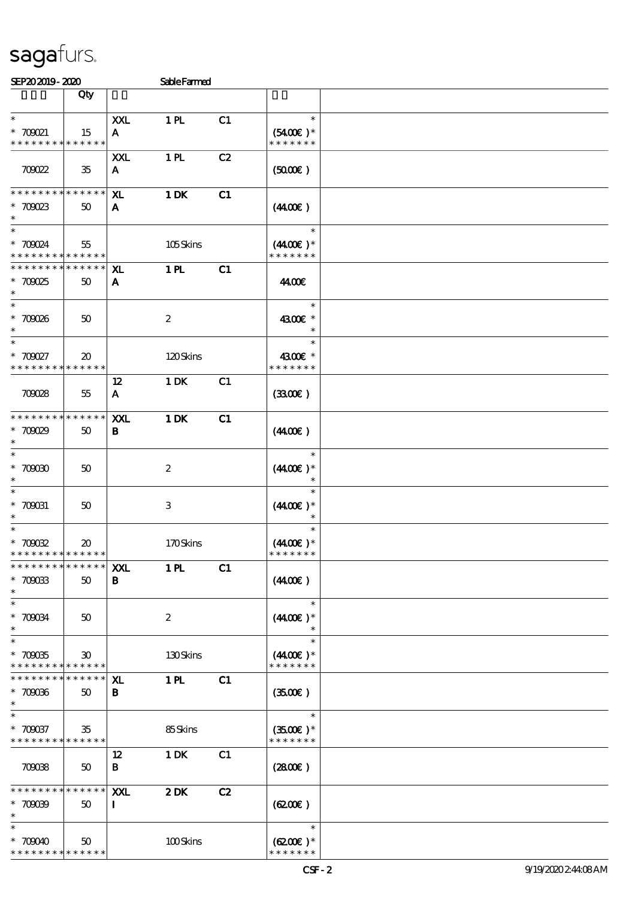| SEP202019-2020                                       |                                            |                     | <b>SableFarmed</b> |    |                                       |  |
|------------------------------------------------------|--------------------------------------------|---------------------|--------------------|----|---------------------------------------|--|
|                                                      | Qty                                        |                     |                    |    |                                       |  |
| $\ast$<br>$*$ 700021<br>* * * * * * * *              | 15<br>******                               | XXL<br>A            | 1 <sub>H</sub>     | C1 | $\ast$<br>$(5400)$ *<br>* * * * * * * |  |
| 709022                                               | 35                                         | XXL<br>$\mathbf{A}$ | 1 <sub>H</sub>     | C2 | (5000)                                |  |
| * * * * * * * *<br>$*70023$<br>$\ast$                | * * * * * *<br>50                          | ${\bf x}$<br>A      | 1 DK               | C1 | (440E)                                |  |
| $\ast$<br>$* 700024$<br>* * * * * * * *              | 55<br>* * * * * *                          |                     | 105Skins           |    | $\ast$<br>$(4400)$ *<br>* * * * * * * |  |
| * * * * * * * *<br>$*70025$<br>$\ast$                | ******<br>50                               | ${\bf x}$<br>A      | 1 <sub>H</sub>     | C1 | 44.00€                                |  |
| $\ast$<br>$* 70008$<br>$\ast$                        | 50                                         |                     | $\boldsymbol{2}$   |    | $\ast$<br>4300€ *<br>$\ast$           |  |
| $\ast$<br>$* 700027$<br>* * * * * * * *              | $\boldsymbol{\mathfrak{D}}$<br>* * * * * * |                     | 120Skins           |    | $\ast$<br>4300€ *<br>* * * * * * *    |  |
| 709028                                               | 55                                         | $12 \,$<br>A        | $1$ DK             | C1 | (330)                                 |  |
| * * * * * * * *<br>$*70009$<br>$\ast$                | * * * * * *<br>50                          | XXL<br>B            | 1 DK               | C1 | (440E)                                |  |
| $\ast$<br>$^\ast$ 70000                              | 50                                         |                     | $\boldsymbol{2}$   |    | $\ast$<br>$(440E)^*$                  |  |
| $\ast$<br>$* 700031$                                 | $50^{\circ}$                               |                     | 3                  |    | $\ast$<br>$(440E)^*$<br>$\ast$        |  |
| $\ast$<br>* 700022<br>* * * * * * * * * * * * * *    | $\boldsymbol{\mathfrak{D}}$                |                     | 170Skins           |    | $\ast$<br>$(4400)$ *<br>* * * * * * * |  |
| * * * * * * * * * * * * * * *<br>$* 70003$<br>$\ast$ | 50                                         | XXL<br>B            | 1 <sub>H</sub>     | C1 | (440E)                                |  |
| $\ast$<br>$* 700034$<br>$\ast$                       | $50^{\circ}$                               |                     | $\boldsymbol{2}$   |    | $\ast$<br>$(440E)^*$<br>$\ast$        |  |
| $\ast$<br>$* 70005$<br>* * * * * * * * * * * * * *   | $\boldsymbol{\mathfrak{D}}$                |                     | 130Skins           |    | $\ast$<br>$(4400)$ *<br>* * * * * * * |  |
| * * * * * * * *<br>$* 70006$<br>$\ast$               | ******<br>$50^{\circ}$                     | ${\bf x}$<br>B.     | 1 <sub>H</sub>     | C1 | (3500)                                |  |
| $* 700037$<br>* * * * * * * * * * * * * *            | 35                                         |                     | 85Skins            |    | $\ast$<br>$(3500)$ *<br>* * * * * * * |  |
| 709038                                               | $50^{\circ}$                               | 12<br>B             | 1 DK               | C1 | (2800)                                |  |
| * * * * * * * *<br>$* 70009$<br>$\ast$               | ******<br>50                               | XXL<br>$\mathbf{I}$ | 2DK                | C2 | (6200)                                |  |
| $\ast$<br>$*70000$<br>* * * * * * * * * * * * * *    | $50^{\circ}$                               |                     | 100Skins           |    | $\ast$<br>$(6200)$ *<br>* * * * * * * |  |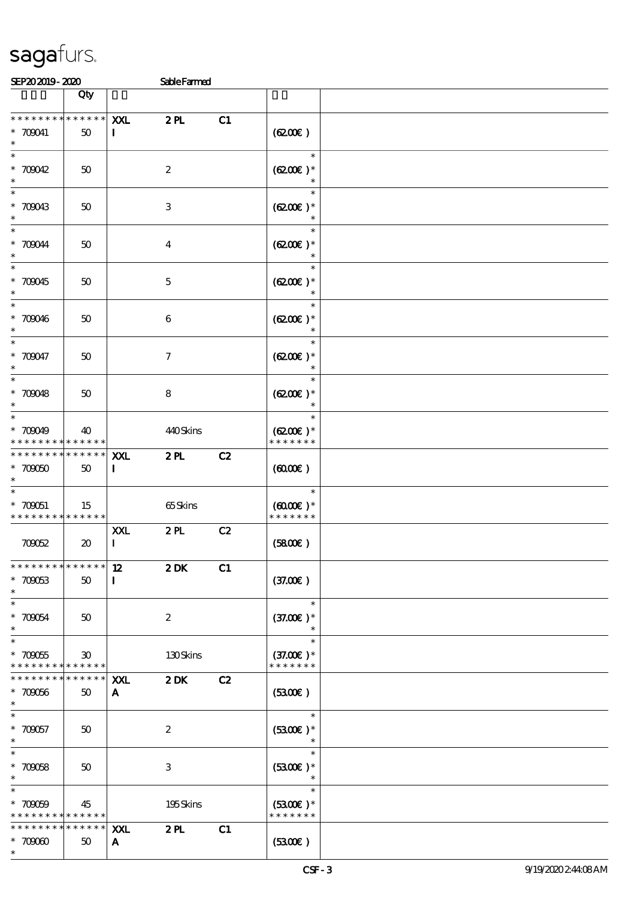| SEP202019-2020                                   |                                            |                        | <b>SableFarmed</b>        |    |                                          |  |
|--------------------------------------------------|--------------------------------------------|------------------------|---------------------------|----|------------------------------------------|--|
|                                                  | Qty                                        |                        |                           |    |                                          |  |
| * * * * * * * *<br>$* 700041$<br>$\ast$          | * * * * * *<br>50                          | XXL<br>$\mathbf I$     | 2PL                       | C1 | (6200)                                   |  |
| $\overline{\ast}$<br>* $700042$<br>$\ast$        | 50                                         |                        | $\boldsymbol{z}$          |    | $\ast$<br>$(6200)$ *<br>$\ast$           |  |
| $* 700043$<br>$\ast$                             | 50                                         |                        | $\ensuremath{\mathsf{3}}$ |    | $\ast$<br>$(6200)$ *                     |  |
| $*$ 700044<br>$\ast$<br>$\overline{\phantom{0}}$ | 50                                         |                        | $\overline{\mathbf{4}}$   |    | $\ast$<br>$(6200)$ *                     |  |
| $* 700045$<br>$\ast$<br>$\overline{\phantom{0}}$ | 50                                         |                        | $\mathbf 5$               |    | $\ast$<br>$(6200)$ *<br>$\ast$<br>$\ast$ |  |
| * $700046$<br>$\ast$<br>$\overline{\ast}$        | 50                                         |                        | 6                         |    | $(6200)$ *<br>$\ast$                     |  |
| $* 700047$<br>$\ast$<br>$\overline{\phantom{0}}$ | 50                                         |                        | $\tau$                    |    | $\ast$<br>$(6200)$ *<br>$\ast$<br>$\ast$ |  |
| * $700048$<br>$\ast$<br>$*$                      | 50                                         |                        | 8                         |    | $(6200)$ *<br>$\ast$<br>$\ast$           |  |
| * 709049<br>* * * * * * * *<br>* * * * * * * *   | 40<br>* * * * * *<br>* * * * * *           |                        | 440Skins                  |    | $(6200)$ *<br>* * * * * * *              |  |
| $*70000$<br>$\ast$<br>$\overline{\ast}$          | 50                                         | XXL<br>$\bf{I}$        | 2PL                       | C2 | (6000)<br>$\ast$                         |  |
| $* 700051$<br>* * * * * * * * * * * * * *        | 15                                         |                        | 65Skins                   |    | $(6000\varepsilon)*$<br>* * * * * * *    |  |
| 700052                                           | $\boldsymbol{\mathfrak{D}}$                | <b>XXL</b><br>$\bf{I}$ | 2PL                       | C2 | (5800)                                   |  |
| * * * * * * * * * * * * * *<br>$* 700053$<br>$*$ | 50                                         | 12<br>$\mathbf{I}$     | $2$ DK                    | C1 | (37.00)                                  |  |
| $*$<br>$* 700054$<br>$\ast$                      | 50                                         |                        | $\boldsymbol{2}$          |    | $\ast$<br>$(37.00)$ *<br>$\ast$          |  |
| $*700055$<br>* * * * * * * *                     | $\boldsymbol{\mathfrak{D}}$<br>* * * * * * |                        | 130Skins                  |    | $\ast$<br>$(37.00)$ *<br>* * * * * * *   |  |
| * * * * * * *<br>$*700056$<br>$\ast$             | * * * * * *<br>50                          | XXL<br>A               | 2DK                       | C2 | (3300)                                   |  |
| $\ast$<br>$* 700057$<br>$*$                      | 50                                         |                        | $\boldsymbol{2}$          |    | $\ast$<br>$(5300)$ *<br>$\ast$           |  |
| $\overline{\ast}$<br>$* 700058$<br>$*$           | 50                                         |                        | 3                         |    | $\ast$<br>$(3300)$ *<br>$\ast$           |  |
| $\ast$<br>$* 700009$<br>* * * * * * * *          | 45<br>$* * * * * * *$                      |                        | 195Skins                  |    | $\ast$<br>$(5300)$ *<br>* * * * * * *    |  |
| * * * * * * * *<br>$* 70000$<br>$\ast$           | * * * * * *<br>50                          | XXL<br>A               | 2PL                       | C1 | (5300)                                   |  |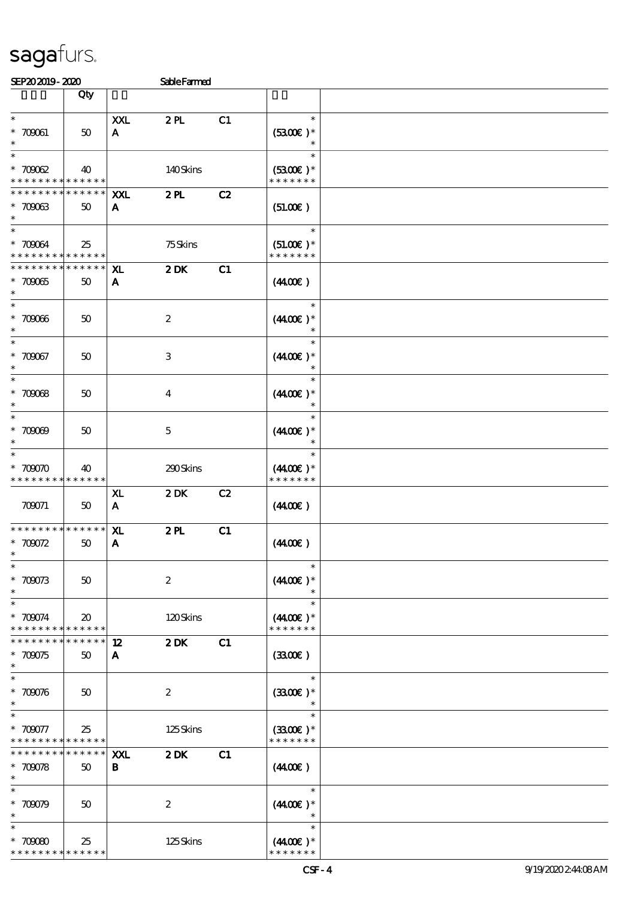| SEPACAJI9- ARO                                                   |                               |                                | SableFarmed             |    |                                        |  |
|------------------------------------------------------------------|-------------------------------|--------------------------------|-------------------------|----|----------------------------------------|--|
|                                                                  | Qty                           |                                |                         |    |                                        |  |
| $\ast$<br>$* 700061$<br>$\ast$                                   | 50                            | XXL<br>$\mathbf{A}$            | 2PL                     | C1 | $\ast$<br>$(5300)$ *                   |  |
| $\ast$<br>$* 70002$<br>* * * * * * * * * * * * * *               | 40                            |                                | 140Skins                |    | $(5300)$ *<br>* * * * * * *            |  |
| * * * * * * * * * * * * * * *<br>$* 70003$<br>$\ast$             | 50                            | XXI.<br>A                      | 2PL                     | C2 | (51.00)                                |  |
| $\ast$<br>$* 700034$<br>* * * * * * * * * * * * * * *            | 25                            |                                | 75Skins                 |    | $\ast$<br>$(51.00)$ *<br>* * * * * * * |  |
| * * * * * * * * * * * * * * *<br>$* 70005$<br>$\ast$             | 50                            | X <sub>L</sub><br>$\mathbf{A}$ | $2$ DK                  | C1 | (440E)                                 |  |
| $\ast$<br>* 70006<br>$\ast$                                      | 50                            |                                | $\boldsymbol{2}$        |    | $\ast$<br>$(440E)^*$                   |  |
| $\ast$<br>* 700067<br>$\ast$                                     | 50                            |                                | 3                       |    | $\ast$<br>$(440E)^*$                   |  |
| $\ast$<br>$* 70008$<br>$\ast$                                    | 50                            |                                | $\overline{\mathbf{4}}$ |    | $(440E)^*$                             |  |
| $\ast$<br>$* 70009$<br>$\ast$                                    | $50^{\circ}$                  |                                | $\mathbf{5}$            |    | $(4400\varepsilon)*$                   |  |
| $\ast$<br>$*70000$<br>* * * * * * * * <mark>* * * * * * *</mark> | 40                            |                                | 290Skins                |    | $\ast$<br>$(440E)^*$<br>* * * * * * *  |  |
| 709071                                                           | $50\,$                        | ${\bf x}$<br>$\mathbf{A}$      | 2DK                     | C2 | (440E)                                 |  |
| * * * * * * * *<br>* $700072$<br>$\ast$                          | * * * * * *<br>50             | XL<br>${\bf A}$                | 2PL                     | C1 | (440E)                                 |  |
| $\ast$<br>$*70073$<br>$\ast$                                     | 50                            |                                | $\boldsymbol{2}$        |    | $\ast$<br>$(4400\varepsilon)*$         |  |
| $*700074$<br>* * * * * * * * * * * * * *                         | $\boldsymbol{\mathfrak{D}}$   |                                | 120Skins                |    | $(4400\varepsilon)*$<br>* * * * * * *  |  |
| * * * * * * * *<br>$*700075$<br>$\ast$                           | * * * * * *  <br>50           | $12 \,$<br>A                   | 2DK                     | C1 | (3300)                                 |  |
| $\ast$<br>$* 700076$<br>$\ast$                                   | 50                            |                                | $\boldsymbol{2}$        |    | $\ast$<br>$(3300)$ *<br>$\ast$         |  |
| $\ast$<br>$* 700077$<br>* * * * * * * * * * * * * *              | 25                            |                                | 125Skins                |    | $\ast$<br>$(3300)$ *<br>* * * * * * *  |  |
| * * * * * * * *<br>$* 700078$<br>$\ast$                          | * * * * * *  <br>$50^{\circ}$ | XXL<br>В                       | $2$ DK                  | C1 | (440E)                                 |  |
| $\ast$<br>$*70079$<br>$\ast$                                     | $50^{\circ}$                  |                                | $\boldsymbol{2}$        |    | $\ast$<br>$(440E)^*$                   |  |
| $\ast$<br>$*70000$<br>* * * * * * * * <mark>* * * * * *</mark>   | 25                            |                                | 125Skins                |    | $(440E)^*$<br>* * * * * * *            |  |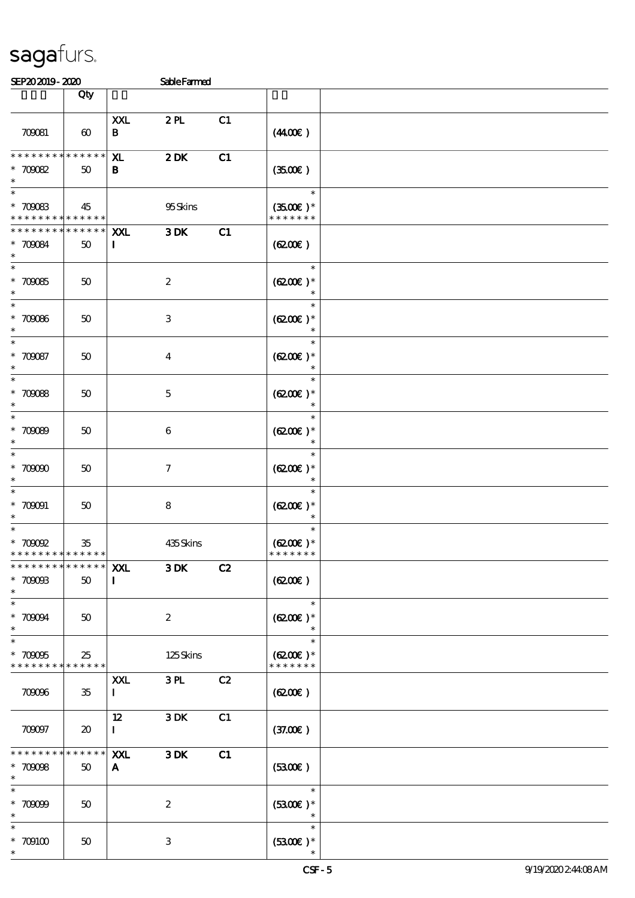| <b>SEPADADIS- ADO</b>                                                  |                             |                        | Sable Farmed     |    |                                       |  |
|------------------------------------------------------------------------|-----------------------------|------------------------|------------------|----|---------------------------------------|--|
|                                                                        | Qty                         |                        |                  |    |                                       |  |
| 700081                                                                 | $\boldsymbol{\omega}$       | <b>XXL</b><br>B        | 2PL              | C1 | (440E)                                |  |
| * * * * * * * *<br>$* 70002$<br>$\ast$                                 | * * * * * *<br>50           | ${\bf x}$<br>B         | $2$ DK           | C1 | (3500)                                |  |
| $\ast$<br>$^\ast$ 700083<br>* * * * * * * * <mark>* * * * * * *</mark> | 45                          |                        | 95Skins          |    | $\ast$<br>$(3500)$ *<br>* * * * * * * |  |
| * * * * * * * *<br>$* 700084$<br>$\ast$                                | $******$<br>50              | XXL<br>$\mathbf I$     | $3\,\mathrm{DK}$ | C1 | (6200)                                |  |
| $\ast$<br>$^\ast$ 700085<br>$\ast$                                     | $50\,$                      |                        | $\boldsymbol{2}$ |    | $\ast$<br>$(6200)$ *<br>$\ast$        |  |
| $\ast$<br>$* 70006$<br>$\ast$                                          | 50                          |                        | $\,3$            |    | $\ast$<br>$(6200)$ *                  |  |
| $\ast$<br>$* 700087$<br>$\ast$                                         | 50                          |                        | $\boldsymbol{4}$ |    | $\ast$<br>$(6200)$ *                  |  |
| $\ast$<br>* 700088<br>$\ast$                                           | $50\,$                      |                        | $\mathbf 5$      |    | $\ast$<br>$(6200)$ *<br>$\ast$        |  |
| $\ast$<br>$* 70009$<br>$\ast$                                          | $50\,$                      |                        | $\bf 6$          |    | $\ast$<br>$(6200)$ *<br>$\ast$        |  |
| $\ast$<br>$^\ast$ 70000<br>$\ast$                                      | $50\,$                      |                        | $\mathcal I$     |    | $\ast$<br>$(6200)$ *<br>$\ast$        |  |
| $\ast$<br>$* 700001$<br>$\ast$                                         | $50\,$                      |                        | $\bf 8$          |    | $\ast$<br>$(6200)$ *<br>$\ast$        |  |
| $\ast$<br>$\hspace{0.1cm}^*$ 70002<br>* * * * * * * * * * * * * *      | $35\,$                      |                        | 435Skins         |    | $\ast$<br>$(6200)$ *<br>* * * * * * * |  |
| ***************   XXL<br>$* 7000B$<br>$\ast$                           | $50\,$                      | $\mathbf I$            | $3\,\mathrm{DK}$ | C2 | (6200)                                |  |
| $\ast$<br>$* 70004$<br>$\ast$                                          | $50\,$                      |                        | $\boldsymbol{2}$ |    | $\ast$<br>$(6200)$ *<br>$\ast$        |  |
| $\ast$<br>$* 70005$<br>* * * * * * * *                                 | 25<br>* * * * * *           |                        | 125Skins         |    | $\ast$<br>$(6200)$ *<br>* * * * * * * |  |
| 709096                                                                 | $35\,$                      | <b>XXL</b><br>$\bf{I}$ | 3PL              | C2 | (6200)                                |  |
| 700097                                                                 | $\boldsymbol{\mathfrak{D}}$ | 12<br>$\mathbf{I}$     | 3DK              | C1 | (37.00)                               |  |
| * * * * * *<br>$* 70008$<br>$\ast$                                     | * * * * * *  <br>50         | XXL<br>A               | 3DK              | C1 | (5300)                                |  |
| $\ast$<br>$*70009$<br>$\ast$                                           | 50                          |                        | $\boldsymbol{2}$ |    | $\ast$<br>$(5300)$ *                  |  |
| $*$ 709100<br>$\ast$                                                   | 50                          |                        | 3                |    | $\ast$<br>$(5300)$ *<br>$\ast$        |  |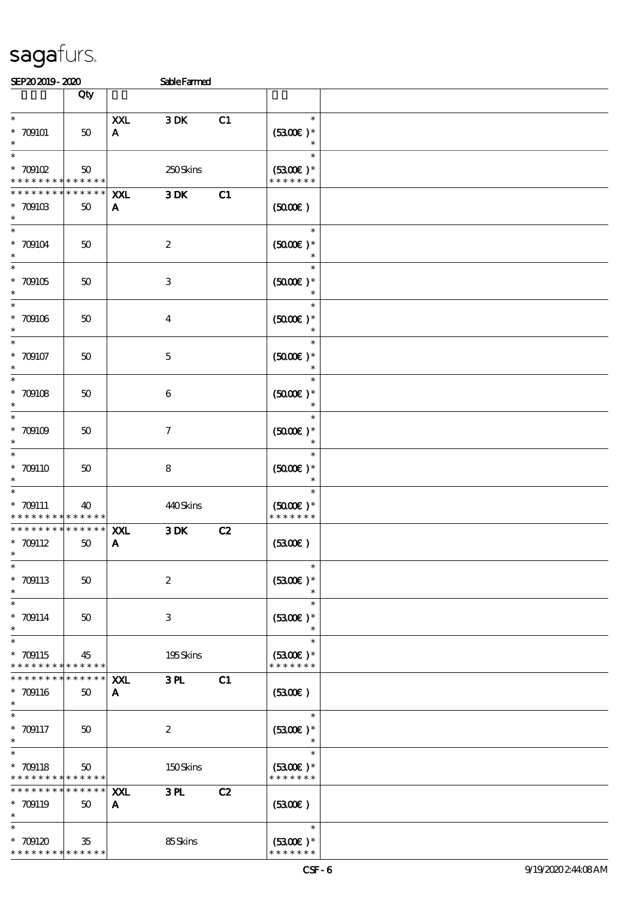# sagafurs.<br>Semang an

| SEPAJAJIY-ARU                                                            |                       |                            | SableFarmed         |    |                                          |  |
|--------------------------------------------------------------------------|-----------------------|----------------------------|---------------------|----|------------------------------------------|--|
|                                                                          | Qty                   |                            |                     |    |                                          |  |
| $\ast$<br>$* 709101$<br>$\ast$                                           | $50\,$                | <b>XXL</b><br>$\mathbf{A}$ | 3DK                 | C1 | $\ast$<br>$(3300)$ *                     |  |
| $\hspace{0.1cm}^*$ 709102<br>* * * * * * * *                             | 50<br>* * * * * *     |                            | 250Skins            |    | $\ast$<br>$(5300)$ *<br>* * * * * * *    |  |
| * * * * * * * *<br>$^\ast$ 709103<br>$\ast$                              | $* * * * * * *$<br>50 | XXL<br>A                   | $3\,\mathrm{DK}$    | C1 | (5000)                                   |  |
| $\ast$<br>$^\ast$ 709104<br>$\ast$                                       | $50\,$                |                            | $\boldsymbol{2}$    |    | $\ast$<br>$(5000)$ *<br>$\ast$           |  |
| $\ast$<br>$^\ast$ 709105<br>$\ast$                                       | 50                    |                            | $\,3$               |    | $\ast$<br>$(5000\text{E})*$<br>$\ast$    |  |
| $\ast$<br>$^\ast$ 709106<br>$\ast$                                       | $50\,$                |                            | $\bf{4}$            |    | $\ast$<br>$(5000)$ *                     |  |
| $\ast$<br>$* 709107$<br>$\ast$                                           | $50\,$                |                            | $\mathbf 5$         |    | $(5000)$ *                               |  |
| $\ast$<br>$* 709108$                                                     | 50                    |                            | $\bf 6$             |    | $\ast$<br>$(5000\varepsilon)*$<br>$\ast$ |  |
| $\ast$<br>$* 709109$<br>$\ast$                                           | $50\,$                |                            | $\boldsymbol{\tau}$ |    | $\ast$<br>$(5000)$ *<br>$\ast$           |  |
| $\ast$<br>$*709110$                                                      | $50\,$                |                            | $\bf 8$             |    | $\ast$<br>$(5000\varepsilon)*$           |  |
| $\ast$<br>$* 709111$<br>* * * * *                                        | 40<br>* * * * * *     |                            | 440Skins            |    | $\ast$<br>$(5000)$ *<br>* * * * * * *    |  |
| * * * * * * *<br>$* 709112$<br>$\ast$                                    | * * * * * *  <br>50   | XXL<br>$\mathbf{A}$        | 3DK                 | C2 | (330)                                    |  |
| $\ast$<br>$* 709113$<br>$\ast$                                           | 50                    |                            | $\boldsymbol{2}$    |    | $\ast$<br>$(5300)$ *                     |  |
| $\ast$<br>$* 709114$<br>$\ast$                                           | 50                    |                            | $\,3$               |    | $\ast$<br>$(5300)$ *<br>$\ast$           |  |
| $\ast$<br>$* 709115$<br>* * * * * * * *                                  | 45<br>$* * * * * * *$ |                            | 195Skins            |    | $\ast$<br>$(5300)$ *<br>* * * * * * *    |  |
| * * * * * * *<br>$* 709116$<br>$\ast$                                    | * * * * * *<br>50     | XXL<br>A                   | 3L                  | C1 | (3300)                                   |  |
| $\ast$<br>* 709117<br>$\ast$                                             | 50                    |                            | $\boldsymbol{2}$    |    | $\ast$<br>$(5300)$ *<br>$\ast$           |  |
| $\ast$<br>$* 709118$<br>* * * * * * * *                                  | $50\,$<br>* * * * * * |                            | 150Skins            |    | $\ast$<br>$(5300)$ *<br>* * * * * * *    |  |
| * * * * * * * *<br>* 709119<br>$\ast$                                    | * * * * * *<br>$50\,$ | <b>XXL</b><br>A            | 3L                  | C2 | (5300)                                   |  |
| $\ast$<br>$^*$ 709120 $\,$<br>* * * * * * * * <mark>* * * * * * *</mark> | 35                    |                            | 85Skins             |    | $\ast$<br>$(5300)$ *<br>* * * * * * *    |  |
|                                                                          |                       |                            |                     |    |                                          |  |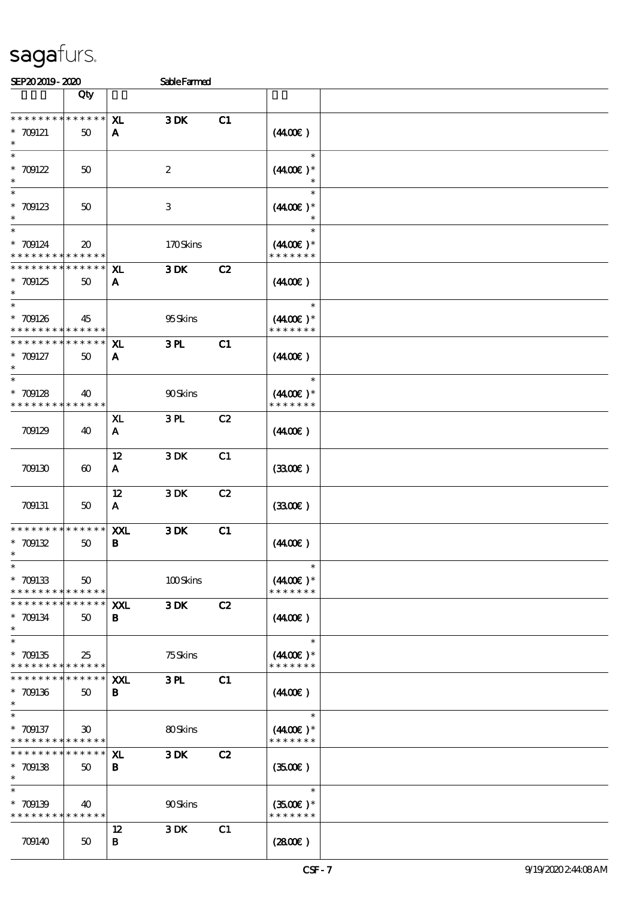| SEP202019-2020                                                                       |                                       |                     | <b>SableFarmed</b> |    |                                                 |  |
|--------------------------------------------------------------------------------------|---------------------------------------|---------------------|--------------------|----|-------------------------------------------------|--|
|                                                                                      | Qty                                   |                     |                    |    |                                                 |  |
| * * * * * * * *<br>$* 709121$<br>$\ast$                                              | $******$<br>50                        | XL<br>$\mathbf{A}$  | 3DK                | C1 | (440E)                                          |  |
| $\ast$<br>$* 709122$<br>$\ast$                                                       | 50                                    |                     | $\boldsymbol{2}$   |    | $\ast$<br>$(440E)^*$                            |  |
| $\ast$<br>$* 709123$<br>$\ast$                                                       | 50                                    |                     | 3                  |    | $\ast$<br>$(440E)^*$                            |  |
| $\ast$<br>$* 709124$<br>* * * * * * * *                                              | $\boldsymbol{\mathfrak{D}}$<br>****** |                     | 170Skins           |    | $\ast$<br>$(440E)^*$<br>* * * * * * *           |  |
| * * * * * * * *<br>$* 709125$<br>$\ast$                                              | * * * * * *<br>50                     | ${\bf x}$<br>A      | $3\,\mathrm{DK}$   | C2 | (440E)                                          |  |
| $\ast$<br>$* 709126$<br>* * * * * * * *                                              | 45<br>* * * * * *                     |                     | 95Skins            |    | $\ast$<br>$(440E)^*$<br>* * * * * * *           |  |
| * * * * * * * *<br>$* 709127$<br>$\ast$                                              | * * * * * *<br>50                     | XL.<br>A            | 3 <sub>H</sub>     | C1 | (440E)                                          |  |
| $\ast$<br>$* 709128$<br>* * * * * * * *                                              | 40<br>* * * * * *                     |                     | 90Skins            |    | $\ast$<br>$(440E)^*$<br>* * * * * * *           |  |
| 709129                                                                               | 40                                    | XL.<br>$\mathbf{A}$ | 3PL                | C2 | (440E)                                          |  |
| 709130                                                                               | $\boldsymbol{\omega}$                 | 12<br>A             | 3DK                | C1 | (3300)                                          |  |
| 709131                                                                               | 50                                    | 12<br>$\mathbf{A}$  | $3$ DK $\,$        | C2 | (3300)                                          |  |
| * * * * * * * *<br>$* 709132$<br>$*$                                                 | * * * * * *<br>50                     | XXL<br>В            | 3DK                | C1 | (440E)                                          |  |
| $\ast$<br>$* 709133$<br>* * * * * * * * <mark>* * * * * *</mark>                     | 50                                    |                     | 100Skins           |    | $\ast$<br>$(4400)$ *<br>* * * * * * *           |  |
| * * * * * * * *<br>* 709134<br>$\ast$                                                | $* * * * * * *$<br>$50^{\circ}$       | XXL<br>B            | 3DK                | C2 | (440E)                                          |  |
| $\overline{\ast}$<br>$* 709135$<br>* * * * * * * * * * * * * *                       | 25                                    |                     | $75S$ kins         |    | $\ast$<br>$(4400\varepsilon)*$<br>* * * * * * * |  |
| * * * * * * * *<br>$* 709136$<br>$\ast$                                              | ******<br>50                          | <b>XXL</b><br>В     | 3PL                | C1 | (440E)                                          |  |
| $\overline{\phantom{0}}$<br>$* 709137$<br>* * * * * * * * <mark>* * * * * * *</mark> | $\boldsymbol{\mathfrak{D}}$           |                     | 80Skins            |    | $\ast$<br>$(4400)$ *<br>* * * * * * *           |  |
| * * * * * * * *<br>$* 709138$<br>$\ast$                                              | ******<br>50                          | X <sub>L</sub><br>В | 3DK                | C2 | (3500)                                          |  |
| $\ast$<br>$* 709139$<br>* * * * * * * * * * * * * *                                  | 40                                    |                     | 90Skins            |    | $\ast$<br>$(3500)$ *<br>* * * * * * *           |  |
| 709140                                                                               | 50                                    | $12 \,$<br>В        | 3DK                | C1 | (2800)                                          |  |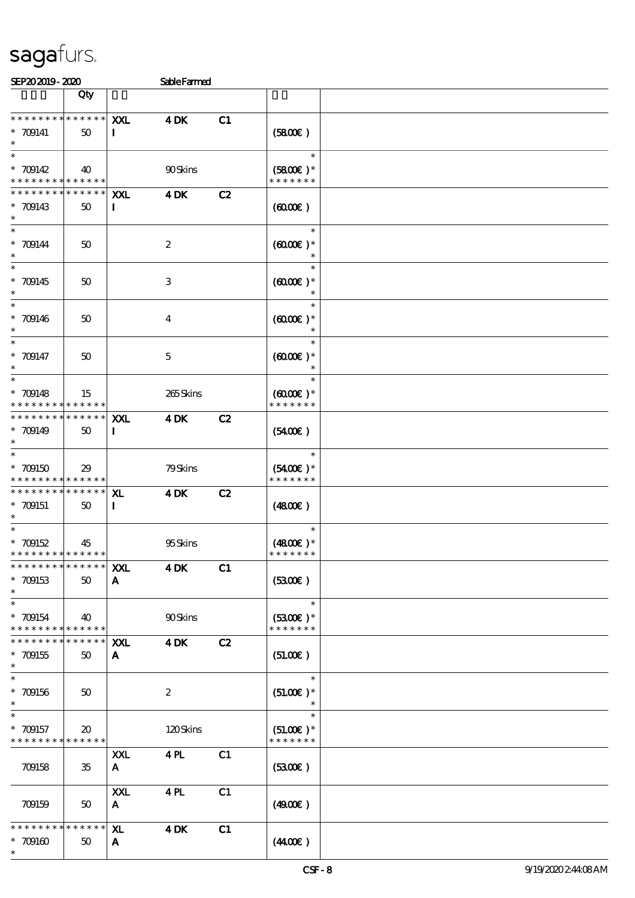\*

| SEP202019-2020                                         |                                    |                           | <b>Sable Farmed</b>     |    |                                |  |
|--------------------------------------------------------|------------------------------------|---------------------------|-------------------------|----|--------------------------------|--|
|                                                        | Qty                                |                           |                         |    |                                |  |
| * * * * * * * * * * * * * *                            |                                    | XXL                       | <b>4DK</b>              | C1 |                                |  |
| $* 709141$                                             | 50                                 | I                         |                         |    | (5800)                         |  |
| $\ast$<br>$\ast$                                       |                                    |                           |                         |    | $\ast$                         |  |
| $* 709142$                                             | 40                                 |                           | 90Skins                 |    | $(5800)$ *                     |  |
| * * * * * * * * <mark>* * * * * * *</mark>             |                                    |                           |                         |    | * * * * * * *                  |  |
| * * * * * * * * * * * * * *                            |                                    | XXL                       | $4$ DK                  | C2 |                                |  |
| $* 709143$<br>$\ast$                                   | 50                                 | $\mathbf{I}$              |                         |    | (6000)                         |  |
| $\ast$                                                 |                                    |                           |                         |    | $\ast$                         |  |
| $* 709144$<br>$\ast$                                   | 50                                 |                           | $\boldsymbol{2}$        |    | $(6000\varepsilon)*$           |  |
| $\ast$                                                 |                                    |                           |                         |    |                                |  |
| $* 709145$                                             | 50                                 |                           | 3                       |    | $(6000\varepsilon)*$           |  |
| $\ast$<br>$\ast$                                       |                                    |                           |                         |    | $\ast$                         |  |
| $* 709146$                                             | $50^{\circ}$                       |                           | $\overline{\mathbf{4}}$ |    | $(6000\varepsilon)*$           |  |
|                                                        |                                    |                           |                         |    |                                |  |
| $\ast$<br>$* 709147$                                   | $50^{\circ}$                       |                           | $\mathbf 5$             |    | $\ast$<br>$(6000\varepsilon)*$ |  |
| $\ast$                                                 |                                    |                           |                         |    | $\ast$                         |  |
| $\ast$                                                 |                                    |                           |                         |    | $\ast$                         |  |
| $* 709148$<br>* * * * * * * * <mark>* * * * * *</mark> | 15                                 |                           | 265Skins                |    | $(0,000)$ *<br>* * * * * * *   |  |
| * * * * * * * * * * * * * *                            |                                    | XXL                       | $4$ DK                  | C2 |                                |  |
| $* 709149$                                             | 50                                 | $\bf{I}$                  |                         |    | $(5400\varepsilon)$            |  |
| $\ast$                                                 |                                    |                           |                         |    | $\ast$                         |  |
| $*709150$                                              | 29                                 |                           | 79Skins                 |    | $(5400)$ *                     |  |
|                                                        | * * * * * <mark>* * * * * *</mark> |                           |                         |    | * * * * * * *                  |  |
| * * * * * * * * * * * * * *<br>$* 709151$              | 50                                 | ${\bf x}$<br>$\mathbf{I}$ | $4$ DK                  | C2 | (480E)                         |  |
| $\ast$                                                 |                                    |                           |                         |    |                                |  |
| $\ast$                                                 |                                    |                           |                         |    | $\ast$                         |  |
| $* 709152$<br>* * * * * * * * * * * * * *              | 45                                 |                           | 95Skins                 |    | $(4800)$ *<br>* * * * * * *    |  |
| * * * * * * * *                                        | * * * * * *                        | XXL                       | $4$ DK                  | C1 |                                |  |
| $* 709153$                                             | 50                                 | A                         |                         |    | (330)                          |  |
| $\ast$<br>$\ast$                                       |                                    |                           |                         |    | $\ast$                         |  |
| $* 709154$                                             | 40                                 |                           | 90Skins                 |    | $(5300)$ *                     |  |
| * * * * * * * * * * * * * *                            |                                    |                           |                         |    | * * * * * * *                  |  |
| * * * * * * * *<br>$* 709155$                          | * * * * * *<br>50                  | XXL<br>A                  | $4$ DK                  | C2 | (51.00)                        |  |
| $\ast$                                                 |                                    |                           |                         |    |                                |  |
| $\ast$                                                 |                                    |                           |                         |    | $\ast$                         |  |
| $* 709156$<br>$\ast$                                   | 50                                 |                           | $\boldsymbol{2}$        |    | $(51.00)$ *                    |  |
| $\ast$                                                 |                                    |                           |                         |    | $\ast$                         |  |
| $* 709157$                                             | $\boldsymbol{\mathfrak{D}}$        |                           | 120Skins                |    | $(51.00)$ *                    |  |
| * * * * * * * * <mark>* * * * * *</mark>               |                                    | XXL                       | 4PL                     | C1 | * * * * * * *                  |  |
| 709158                                                 | 35                                 | A                         |                         |    | (330)                          |  |
|                                                        |                                    |                           |                         |    |                                |  |
|                                                        |                                    | XXL                       | $4$ PL                  | C1 |                                |  |
| 709159                                                 | 50                                 | $\mathbf{A}$              |                         |    | (4900)                         |  |
| * * * * * * * * * * * * * *                            |                                    | XL.                       | $4$ DK                  | C1 |                                |  |
| $*$ 709160                                             | 50                                 | A                         |                         |    | (440E)                         |  |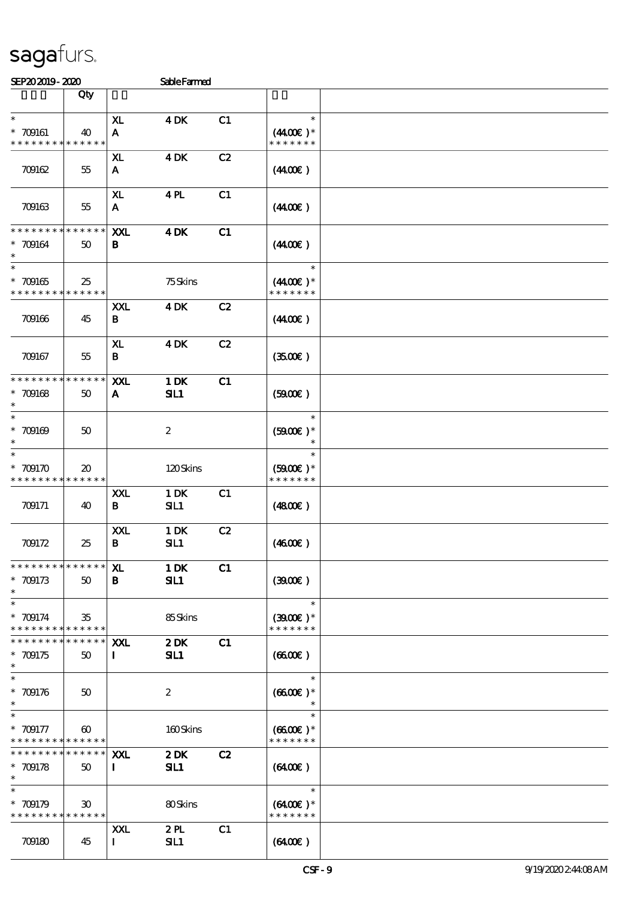| SEP202019-2020                                           |                                            |                              | <b>Sable Farmed</b> |    |                                              |  |
|----------------------------------------------------------|--------------------------------------------|------------------------------|---------------------|----|----------------------------------------------|--|
|                                                          | Qty                                        |                              |                     |    |                                              |  |
| $\ast$<br>$* 709161$<br>* * * * * * * *                  | 40<br>* * * * * *                          | XL<br>$\mathbf{A}$           | $4$ DK              | C1 | $\ast$<br>$(4400)$ *<br>* * * * * * *        |  |
| 709162                                                   | 55                                         | $\mathbf{X}$<br>$\mathbf{A}$ | <b>4DK</b>          | C2 | (440E)                                       |  |
| 709163                                                   | $55\,$                                     | XL.<br>A                     | 4PL                 | C1 | (440E)                                       |  |
| * * * * * * *<br>$* 709164$                              | * * * * * *<br>$50\,$                      | XXL<br>B                     | <b>4DK</b>          | C1 | (440E)                                       |  |
| $\overline{\ast}$<br>$* 709165$<br>* * * * * * * *       | 25<br>* * * * * *                          |                              | 75Skins             |    | $\ast$<br>$(440E)^*$<br>* * * * * * *        |  |
| 709166                                                   | 45                                         | XXL<br>В                     | <b>4DK</b>          | C2 | (440E)                                       |  |
| 709167                                                   | 55                                         | XL.<br>$\, {\bf B}$          | <b>4DK</b>          | C2 | (350)                                        |  |
| * * * * * * * *<br>$* 709168$<br>$\ast$                  | * * * * * *<br>50                          | <b>XXL</b><br>A              | 1 DK<br>SL1         | C1 | (5000)                                       |  |
| $\ast$<br>$* 709169$<br>$\ast$                           | 50                                         |                              | $\boldsymbol{2}$    |    | $\ast$<br>$(5900)$ *<br>$\ast$               |  |
| $*709170$<br>* * * * * * * *                             | $\boldsymbol{\mathfrak{D}}$<br>* * * * * * |                              | 120Skins            |    | $\ast$<br>$(5000)$ *<br>* * * * * * *        |  |
| 709171                                                   | 40                                         | <b>XXL</b><br>B              | 1 DK<br>SL1         | C1 | (4800)                                       |  |
| 709172                                                   | 25                                         | XXL<br>B                     | 1 DK<br>SL1         | C2 | (460E)                                       |  |
| * * * * * * * * * * * * * * *<br>$* 709173$<br>$\ast$    | 50                                         | ${\bf x}$<br>$\mathbf{B}$    | $1$ DK<br>SL1       | C1 | (300)                                        |  |
| $\ast$<br>$* 709174$<br>* * * * * * * * * * * * * *      | 35                                         |                              | 85Skins             |    | $\ast$<br>$(3900E)*$<br>* * * * * * *        |  |
| * * * * * * * *<br>$*709175$<br>$\ast$                   | $* * * * * * *$<br>50                      | <b>XXL</b><br>$\bf{I}$       | $2$ DK<br>SL1       | C1 | (6600)                                       |  |
| $\ast$<br>$*709176$<br>$\ast$                            | $50^{\circ}$                               |                              | $\boldsymbol{2}$    |    | $\ast$<br>$(6600E)*$                         |  |
| $* 709177$<br>* * * * * * * * <mark>* * * * * *</mark> * | $\boldsymbol{\omega}$                      |                              | 160Skins            |    | $\ast$<br>$(6600\text{E})*$<br>* * * * * * * |  |
| * * * * * * * * * * * * * * *<br>$* 709178$<br>$\ast$    | 50                                         | XXL<br>$\bf I$               | 2DK<br>SL1          | C2 | $(6400\varepsilon)$                          |  |
| $\ast$<br>$* 709179$<br>* * * * * * * * * * * * * * *    | $\boldsymbol{\mathfrak{D}}$                |                              | 80Skins             |    | $\ast$<br>$(6400)$ *<br>* * * * * * *        |  |
| 709180                                                   | 45                                         | XXL<br>$\mathbf{I}$          | 2PL<br>SL1          | C1 | $(6400\varepsilon)$                          |  |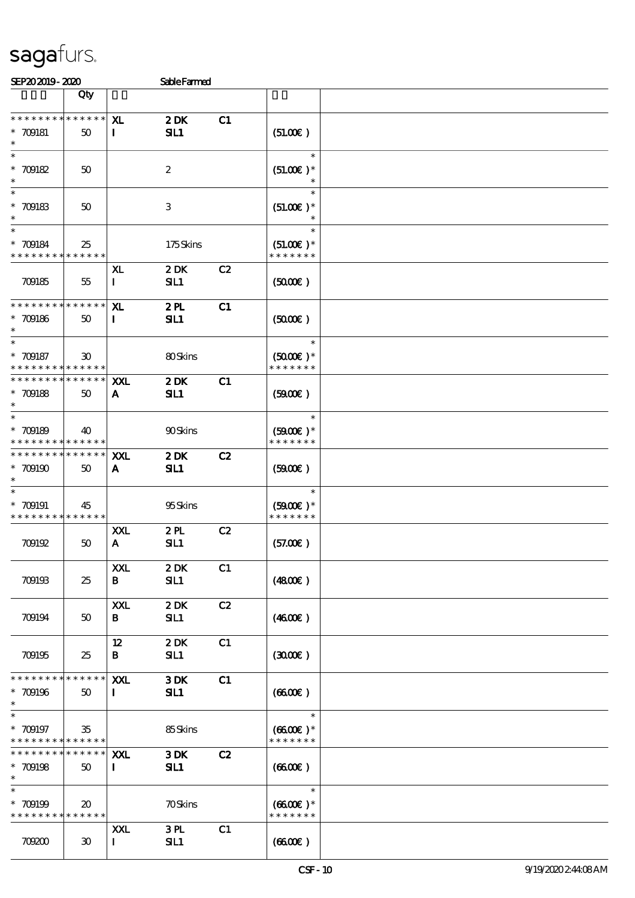| SEP202019-2020                                                                     |                             |                           | <b>Sable Farmed</b>       |    |                                                 |  |
|------------------------------------------------------------------------------------|-----------------------------|---------------------------|---------------------------|----|-------------------------------------------------|--|
|                                                                                    | Qty                         |                           |                           |    |                                                 |  |
| * * * * * * * * * * * * * *<br>$* 709181$<br>$\ast$                                | 50                          | XL<br>$\mathbf{I}$        | 2DK<br>SL1                | C1 | (51.00)                                         |  |
| $\ast$<br>$* 709182$<br>$\ast$                                                     | $50^{\circ}$                |                           | $\boldsymbol{2}$          |    | $\ast$<br>$(51.00)$ *                           |  |
| $\ast$<br>$* 709183$<br>$\ast$                                                     | 50                          |                           | $\ensuremath{\mathbf{3}}$ |    | $\ast$<br>$(51.00)$ *                           |  |
| $\ast$<br>$* 709184$<br>* * * * * * * * * * * * * *                                | 25                          |                           | 175Skins                  |    | $\ast$<br>$(51.00)$ *<br>* * * * * * *          |  |
| 709185                                                                             | 55                          | ${\bf x}$<br>$\mathbf{I}$ | 2DK<br>SL1                | C2 | (5000)                                          |  |
| * * * * * * * * * * * * * *<br>$* 709186$<br>$\ast$                                | 50                          | XL<br>$\mathbf I$         | 2PL<br>SL1                | C1 | (5000)                                          |  |
| $\ast$<br>$* 709187$<br>* * * * * * * * * * * * * *                                | $\boldsymbol{\mathfrak{D}}$ |                           | 80Skins                   |    | $\ast$<br>$(5000)$ *<br>* * * * * * *           |  |
| * * * * * * * * * * * * * *<br>$* 709188$<br>$\ast$                                | $50^{\circ}$                | XXL<br>A                  | 2DK<br>SL1                | C1 | (5000)                                          |  |
| $\ast$<br>$* 709189$<br>* * * * * * * * <mark>* * * * * *</mark>                   | 40                          |                           | 90Skins                   |    | $\ast$<br>$(5000\varepsilon)*$<br>* * * * * * * |  |
| * * * * * * * * <mark>* * * * * *</mark> *<br>$*709190$<br>$\ast$                  | 50                          | XXL<br>A                  | 2DK<br>SL1                | C2 | (5000)                                          |  |
| $\ast$<br>$* 709191$<br>* * * * * * * * <mark>* * * * * *</mark> *                 | 45                          |                           | 95Skins                   |    | $\ast$<br>$(5000\varepsilon)*$<br>* * * * * * * |  |
| 709192                                                                             | 50                          | XXL<br>$\mathbf{A}$       | 2PL<br>SL1                | C2 | (57.00)                                         |  |
| 709193                                                                             | 25                          | XXL<br>B                  | 2DK<br>SL1                | C1 | (4800)                                          |  |
| 709194                                                                             | $50^{\circ}$                | XXL<br>B                  | 2DK<br>SL1                | C2 | (4600)                                          |  |
| 709195                                                                             | 25                          | 12<br>B                   | 2DK<br>SL1                | C1 | (300)                                           |  |
| * * * * * * * * <mark>* * * * * * *</mark><br>$* 709196$<br>$\ast$                 | 50                          | <b>XXL</b><br>П.          | 3DK<br>SL1                | C1 | (6600)                                          |  |
| $\overline{\phantom{0}}$<br>$* 709197$<br>* * * * * * * * <mark>* * * * * *</mark> | 35                          |                           | 85Skins                   |    | $\ast$<br>$(6600\text{E})*$<br>* * * * * * *    |  |
| * * * * * * * * * * * * * * *<br>$* 709198$<br>$\ast$                              | 50                          | XXL<br>$\bf{I}$           | 3DK<br>SL1                | C2 | (6600)                                          |  |
| $\ast$<br>$* 709199$<br>* * * * * * * * * * * * * *                                | $\boldsymbol{\mathfrak{D}}$ |                           | <b>70Skins</b>            |    | $\ast$<br>$(6600E)*$<br>* * * * * * *           |  |
| 709200                                                                             | $30^{\circ}$                | XXL<br>$\mathbf{I}$       | 3PL<br>SL1                | C1 | (6600)                                          |  |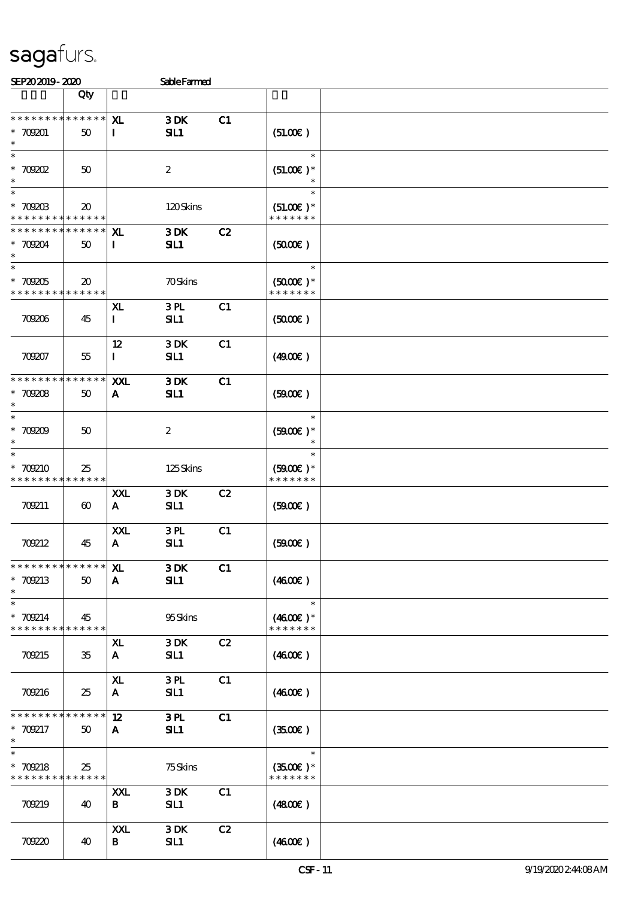| SEP202019-2020                                               |                             |                           | <b>Sable Farmed</b>     |    |                                              |  |
|--------------------------------------------------------------|-----------------------------|---------------------------|-------------------------|----|----------------------------------------------|--|
|                                                              | Qty                         |                           |                         |    |                                              |  |
| * * * * * * * * * * * * * *<br>$* 709001$<br>$\ast$          | 50                          | XL.<br>$\mathbf{I}$       | 3DK<br>SL1              | C1 | (51.00)                                      |  |
| $\ast$<br>$*$ 709202<br>$\ast$                               | 50                          |                           | $\boldsymbol{2}$        |    | $\ast$<br>$(51.00)$ *<br>$\ast$              |  |
| $\ast$<br>$*$ 709203<br>* * * * * * * * * * * * * *          | $\boldsymbol{\mathfrak{D}}$ |                           | 120Skins                |    | $\ast$<br>$(51.00)$ *<br>* * * * * * *       |  |
| * * * * * * * *<br>$* 70904$<br>$\ast$                       | * * * * * *<br>50           | XL.<br>$\bf{I}$           | 3DK<br>SL1              | C2 | (5000)                                       |  |
| $\overline{\ast}$<br>$^\ast$ 709205<br>* * * * * * * *       | $20\,$<br>* * * * * *       |                           | <b>70Skins</b>          |    | $\ast$<br>$(5000\text{E})*$<br>* * * * * * * |  |
| 709206                                                       | 45                          | XL<br>$\bf{I}$            | 3PL<br>SL1              | C1 | (5000)                                       |  |
| 709207                                                       | 55                          | 12<br>$\mathbf{I}$        | 3DK<br>SL1              | C1 | (4900)                                       |  |
| * * * * * * * * * * * * * *<br>$* 70908$<br>$\ast$           | 50                          | XXL<br>$\mathbf{A}$       | 3DK<br>SL1              | C1 | (5000)                                       |  |
| $\ast$<br>$* 70909$<br>$\ast$                                | 50                          |                           | $\boldsymbol{z}$        |    | $\ast$<br>$(5900)$ *<br>$\ast$               |  |
| $\ast$<br>* 709210<br>* * * * * * * *                        | 25<br>* * * * * *           |                           | 125Skins                |    | $\ast$<br>$(5000)$ *<br>* * * * * * *        |  |
| 709211                                                       | $\boldsymbol{\omega}$       | XXL<br>$\mathbf{A}$       | 3DK<br>SL1              | C2 | (5000)                                       |  |
| 70212                                                        | 45                          | XXL<br>$\mathbf{A}$       | 3PL<br>SL1              | C1 | (5000)                                       |  |
| * * * * * * * * * * * * * *<br>* 709213<br>$\ast$            | 50                          | ${\bf x}$<br>$\mathbf{A}$ | 3DK<br>SL1              | C1 | (460E)                                       |  |
| $\ast$<br>* 709214<br>* * * * * * * * * * * * * *            | 45                          |                           | 95Skins                 |    | $\ast$<br>$(4600E)*$<br>* * * * * * *        |  |
| 709215                                                       | 35                          | XL.<br>$\mathbf{A}$       | 3DK<br>SL1              | C2 | (4600)                                       |  |
| 709216                                                       | 25                          | ${\bf x}$<br>$\mathbf{A}$ | 3PL<br>SL1              | C1 | (460E)                                       |  |
| * * * * * * * * * * * * * *<br>* 709217<br>$\ast$            | 50                          | 12 <sup>°</sup><br>A      | 3PL<br>SL1              | C1 | (350)                                        |  |
| $\overline{\ast}$<br>* 709218<br>* * * * * * * * * * * * * * | 25                          |                           | <b>75Skins</b>          |    | $\ast$<br>$(3500)$ *<br>* * * * * * *        |  |
| 70219                                                        | 40                          | XXL<br>B                  | 3DK<br>SL1              | C1 | (4800)                                       |  |
| 70220                                                        | 40                          | XXL<br>B                  | $3\,\mathrm{DK}$<br>SL1 | C2 | (460E)                                       |  |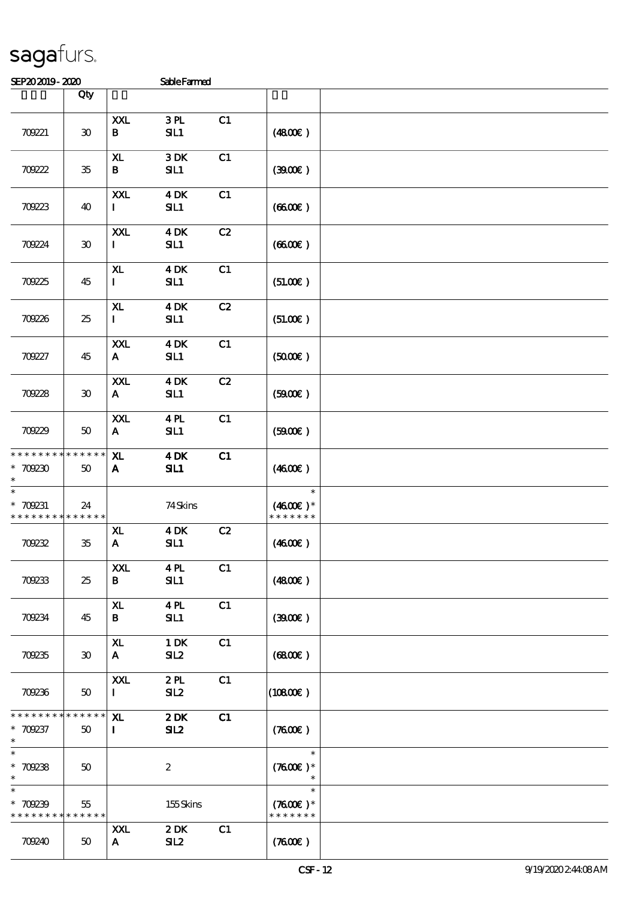| SEP202019-2020                                                   |                             |                            | SableFarmed             |    |                                       |  |
|------------------------------------------------------------------|-----------------------------|----------------------------|-------------------------|----|---------------------------------------|--|
|                                                                  | Qty                         |                            |                         |    |                                       |  |
| 709221                                                           | $\boldsymbol{\mathfrak{D}}$ | <b>XXL</b><br>$\, {\bf B}$ | 3PL<br>SL1              | C1 | (480E)                                |  |
| 70922                                                            | $35\,$                      | $\mathbf{X}$<br>B          | $3\,\mathrm{DK}$<br>SL1 | C1 | (300)                                 |  |
| 70223                                                            | 40                          | XXL<br>$\bf{I}$            | <b>4 DK</b><br>SL1      | C1 | (660)                                 |  |
| 70924                                                            | $\boldsymbol{\mathfrak{D}}$ | <b>XXL</b><br>$\mathbf{I}$ | <b>4DK</b><br>SL1       | C2 | (660)                                 |  |
| 70225                                                            | 45                          | ${\bf x}$<br>$\mathbf{I}$  | $4$ DK<br>SIL1          | C1 | (51.00)                               |  |
| 70226                                                            | 25                          | XL<br>$\mathbf{I}$         | <b>4DK</b><br>SL1       | C2 | (51.00)                               |  |
| 70927                                                            | 45                          | XXL<br>$\mathbf{A}$        | $4$ DK<br>SL1           | C1 | (5000)                                |  |
| 70228                                                            | $\boldsymbol{\mathfrak{D}}$ | XXL<br>$\mathbf{A}$        | $4$ DK<br>SIL1          | C2 | (5000)                                |  |
| 70229                                                            | 50                          | XXL<br>$\mathbf{A}$        | 4PL<br>SIL1             | C1 | (5000)                                |  |
| * * * * * * * *<br>$*709230$<br>$\ast$                           | * * * * * *<br>50           | ${\bf x}$<br>A             | $4$ DK<br>SL1           | C1 | (460E)                                |  |
| $\ast$<br>* 709231<br>* * * * * * * * <mark>* * * * * * *</mark> | 24                          |                            | 74Skins                 |    | $\ast$<br>$(4600E)*$<br>* * * * * * * |  |
| 70232                                                            | 35                          | XL<br>$\mathbf{A}$         | <b>4 DK</b><br>SL1      | C2 | (460E)                                |  |
| 70233                                                            | 25                          | XXL<br>$\bf{B}$            | 4PL<br>SL1              | C1 | (4800)                                |  |
| 70234                                                            | 45                          | ${\bf x}$<br>B             | 4PL<br>SL1              | C1 | (300)                                 |  |
| 70235                                                            | $30^{\circ}$                | XL<br>$\mathbf{A}$         | $1\,\mathrm{DK}$<br>SL2 | C1 | (6800)                                |  |
| 70236                                                            | $50^{\circ}$                | XXL<br>Ι.                  | 2PL<br>SL2              | C1 | (10800)                               |  |
| * * * * * * * *<br>* 709237<br>$\ast$                            | $* * * * * * *$<br>50       | X <sub>L</sub><br>$\bf{I}$ | $2$ DK<br>SL2           | C1 | (7600)                                |  |
| $\ast$<br>$* 709238$<br>$\ast$                                   | 50                          |                            | $\boldsymbol{z}$        |    | $\ast$<br>$(7600)$ *<br>$\ast$        |  |
| $\ast$<br>$*709239$<br>* * * * * * * * <mark>* * * * * *</mark>  | 55                          |                            | 155Skins                |    | $\ast$<br>$(7600)$ *<br>* * * * * * * |  |
| 70240                                                            | 50                          | XXL<br>$\mathbf{A}$        | 2DK<br>SL2              | C1 | (7600)                                |  |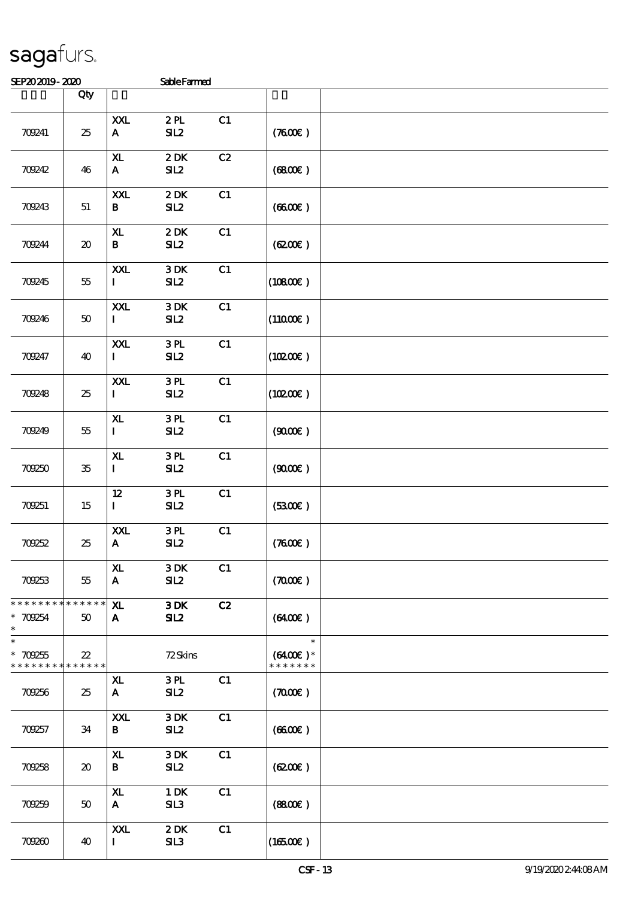| SEP202019-2020 | <b>Sable Farmed</b> |
|----------------|---------------------|

| www.craw                               |                                     |                                    | <b>CLACT GLILDJ</b>     |    |                                       |  |
|----------------------------------------|-------------------------------------|------------------------------------|-------------------------|----|---------------------------------------|--|
|                                        | Qty                                 |                                    |                         |    |                                       |  |
| 709241                                 | 25                                  | XXL<br>${\bf A}$                   | 2PL<br>SL2              | C1 | (7600)                                |  |
| 70242                                  | 46                                  | ${\bf x}$<br>${\bf A}$             | 2DK<br>SL2              | C2 | (6800)                                |  |
| 70243                                  | 51                                  | <b>XXL</b><br>$\bf{B}$             | 2DK<br>SL2              | C1 | (660)                                 |  |
| 709244                                 | $\boldsymbol{\boldsymbol{\lambda}}$ | $\mathbf{X}\mathbf{L}$<br>$\bf{B}$ | 2DK<br>SL2              | C1 | (6200)                                |  |
| 70245                                  | 55                                  | $\pmb{\text{XXL}}$<br>$\mathbf{I}$ | $3\,\mathrm{DK}$<br>SL2 | C1 | (10800)                               |  |
| 70246                                  | 50                                  | XXL<br>$\mathbf{I}$                | $3\,\mathrm{DK}$<br>SL2 | C1 | $(11000\varepsilon)$                  |  |
| 709247                                 | 40                                  | <b>XXL</b><br>$\mathbf{I}$         | 3PL<br>SL2              | C1 | (10200)                               |  |
| 70248                                  | 25                                  | XXL<br>$\mathbf{I}$                | 3PL<br>SL2              | C1 | (10200)                               |  |
| 70249                                  | $5\!5$                              | XL.<br>$\mathbf{I}$                | 3PL<br>SL2              | C1 | (900)                                 |  |
| 70250                                  | $35\,$                              | ${\bf x}$<br>$\mathbf{I}$          | 3PL<br>SL2              | C1 | (900)                                 |  |
| 709251                                 | 15                                  | $12 \,$<br>$\mathbf{I}$            | 3PL<br>SL2              | C1 | (3300)                                |  |
| 70252                                  | 25                                  | XXL<br>${\bf A}$                   | 3PL<br>SL2              | C1 | (7600)                                |  |
| 70253                                  | 55                                  | XL.<br>A                           | 3DK<br>SL2              | C1 | (700)                                 |  |
| * * * * * * * *<br>* 709254<br>$\ast$  | * * * * * *<br>50                   | ${\bf x}$<br>$\mathbf{A}$          | 3DK<br>SL2              | C2 | (6400)                                |  |
| $\ast$<br>$*709255$<br>* * * * * * * * | $22\,$<br>* * * * * *               |                                    | 72Skins                 |    | $\ast$<br>$(6400)$ *<br>* * * * * * * |  |
| 70256                                  | 25                                  | ${\bf x}$<br>A                     | 3PL<br>SL2              | C1 | (700)                                 |  |
| 70257                                  | 34                                  | <b>XXL</b><br>B                    | $3$ DK $\,$<br>SL2      | C1 | (660)                                 |  |
| 70258                                  | $\boldsymbol{\boldsymbol{\lambda}}$ | X <sub>L</sub><br>$\, {\bf B}$     | 3DK<br>SL2              | C1 | (6200)                                |  |
| 70259                                  | 50                                  | ${\bf x}$<br>$\mathbf{A}$          | $1\,\mathrm{DK}$<br>SL3 | C1 | (880)                                 |  |
| 70260                                  | 40                                  | XXL<br>$\mathbf{I}$                | 2DK<br>SL3              | C1 | $(16500\varepsilon)$                  |  |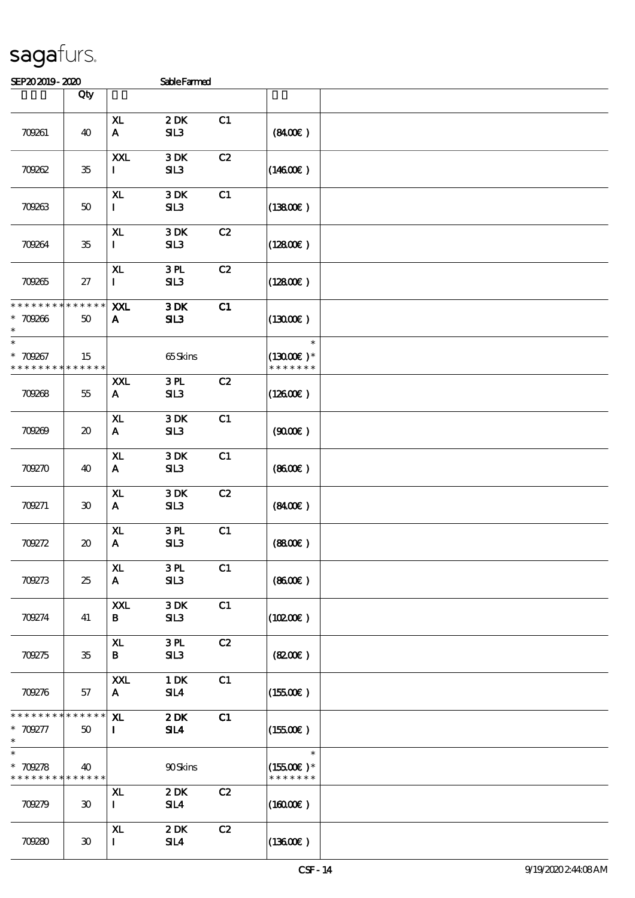| SEP202019-2020                  |                                     |                                | <b>Sable Farmed</b>                |    |                             |  |
|---------------------------------|-------------------------------------|--------------------------------|------------------------------------|----|-----------------------------|--|
|                                 | Qty                                 |                                |                                    |    |                             |  |
|                                 |                                     |                                |                                    |    |                             |  |
| 709261                          | 40                                  | X <sub>L</sub><br>$\mathbf{A}$ | 2DK<br>SL3                         | C1 | (840)                       |  |
|                                 |                                     | XXL                            | 3DK                                | C2 |                             |  |
| 70262                           | $35\,$                              | $\mathbf{I}$                   | SL3                                |    | $(14600\varepsilon)$        |  |
|                                 |                                     | X <sub>L</sub>                 | 3DK                                | C1 |                             |  |
| 70263                           | 50                                  | $\mathbf{I}$                   | SL3                                |    | (13800)                     |  |
|                                 |                                     | XL                             | 3DK                                | C2 |                             |  |
| 70264                           | $35\,$                              | $\mathbf{I}$                   | SL3                                |    | (12800)                     |  |
|                                 |                                     | X <sub>L</sub>                 | 3PL                                | C2 |                             |  |
| 70265                           | 27                                  | $\mathbf{I}$                   | SL3                                |    | (12800)                     |  |
| * * * * * * * *                 | * * * * * *                         | XXL                            | 3DK                                | C1 |                             |  |
| $* 709866$<br>$\ast$            | 50                                  | A                              | SL3                                |    | (13000)                     |  |
| $\ast$                          |                                     |                                |                                    |    | $\ast$                      |  |
| * 709267<br>* * * * * * * *     | 15<br>* * * * * *                   |                                | 65Skins                            |    | $(1300E)*$<br>* * * * * * * |  |
|                                 |                                     | XXL                            | 3PL                                | C2 |                             |  |
| 70268                           | 55                                  | $\mathbf{A}$                   | SL3                                |    | $(12600\varepsilon)$        |  |
|                                 |                                     | XL                             | 3DK                                | C1 |                             |  |
| 70269                           | $\boldsymbol{\boldsymbol{\lambda}}$ | $\mathbf{A}$                   | SL3                                |    | (9000)                      |  |
|                                 |                                     | $\mathbf{X}$                   | 3DK                                | C1 |                             |  |
| 70270                           | 40                                  | A                              | SL3                                |    | (860)                       |  |
|                                 |                                     | ${\bf x}$                      | $3$ DK $\,$                        | C2 |                             |  |
| 709271                          | 30                                  | $\mathbf{A}$                   | SL3                                |    | (840)                       |  |
|                                 |                                     | XL                             | 3PL                                | C1 |                             |  |
| 70272                           | $\boldsymbol{\boldsymbol{\lambda}}$ | $\mathbf{A}$                   | SL3                                |    | (880)                       |  |
|                                 |                                     | XL.                            | 3PL                                | C1 |                             |  |
| 70273                           | 25                                  | $\mathbf{A}$                   | SL3                                |    | (860E)                      |  |
|                                 |                                     | XXL                            | 3DK                                | C1 |                             |  |
| 709274                          | 41                                  | B                              | SL3                                |    | (10200)                     |  |
|                                 |                                     | XL                             | 3PL                                | C2 |                             |  |
| 70275                           | $35\,$                              | B                              | SL3                                |    | (820)                       |  |
|                                 |                                     | XXL                            | $1$ DK                             | C1 |                             |  |
| 709276                          | 57                                  | A.                             | SL4                                |    | (15500)                     |  |
| * * * * * * * *                 | * * * * * *                         | X <sub>L</sub>                 | $2\,\mathrm{DK}$                   | C1 |                             |  |
| * 709277<br>$\ast$              | 50                                  | $\bf{I}$                       | $\mathbf{S}$ <b>I</b> $\mathbf{A}$ |    | $(15500\epsilon)$           |  |
| $\overline{\ast}$<br>$* 709278$ | 40                                  |                                | 90Skins                            |    | $\ast$<br>$(15500)$ *       |  |
| * * * * * * * * * * * * * *     |                                     |                                |                                    |    | * * * * * * *               |  |
| 709279                          | $\boldsymbol{\mathfrak{D}}$         | ${\bf x}$<br>$\mathbf{I}$      | 2DK<br>SL4                         | C2 | $(16000\varepsilon)$        |  |
|                                 |                                     |                                |                                    |    |                             |  |
|                                 |                                     | XL.                            | 2DK                                | C2 |                             |  |
| 709280                          | $\boldsymbol{\mathfrak{D}}$         | $\mathbf{I}$                   | SL4                                |    | (13600)                     |  |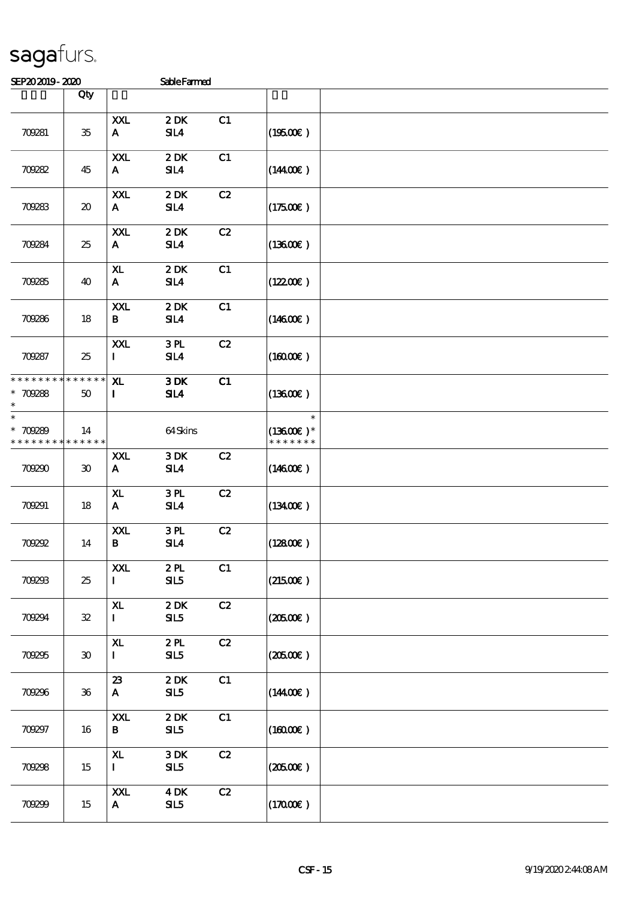| SEP202019-2020                                       |     |                                | <b>Sable Farmed</b>            |    |                      |  |
|------------------------------------------------------|-----|--------------------------------|--------------------------------|----|----------------------|--|
|                                                      | Qty |                                |                                |    |                      |  |
| 709281                                               | 35  | XXL<br>$\mathbf{A}$            | 2DK<br>$\mathbf{S} \mathbf{I}$ | C1 | (19500)              |  |
| 709282                                               | 45  | XXL<br>$\mathbf{A}$            | 2DK<br>SL4                     | C1 | (1440E)              |  |
| 709283                                               | 20  | XXL<br>A.                      | 2DK<br>SL4                     | C2 | $(17500\varepsilon)$ |  |
| 709284                                               | 25  | XXL<br>$\mathbf{A}$            | 2DK<br>SL4                     | C2 | (1360E)              |  |
| 70285                                                | 40  | X <sub>L</sub><br>$\mathbf{A}$ | 2DK<br>SL4                     | C1 | $(12200\varepsilon)$ |  |
| 709286                                               | 18  | XXL<br>B                       | 2DK<br>SL4                     | C1 | $(14600\varepsilon)$ |  |
| 70287                                                | 25  | XXL<br>Ι.                      | 3PL<br>SL4                     | C2 | (16000)              |  |
| * * * * * * * * * * * * * * *<br>$*709288$<br>$\ast$ | 50  | ${\bf x}$<br>L                 | 3DK<br>SL4                     | C1 | (13600)              |  |
| $\ast$<br>$*$ 70289                                  | 14  |                                | 64.Skins                       |    | $\ast$<br>$(1360E)*$ |  |

|                                            |                             | <b>XXL</b>         | 3PL                     | C2 |                      |  |
|--------------------------------------------|-----------------------------|--------------------|-------------------------|----|----------------------|--|
| 709287                                     | 25                          | $\mathbf{I}$       | SL4                     |    | $(16000\varepsilon)$ |  |
| * * * * * * * * * * * * * * <mark>*</mark> |                             | X <sub>L</sub>     | 3DK                     | C1 |                      |  |
| $* 709288$                                 | $50^{\circ}$                | $\mathbf{I}$       | SL4                     |    | $(13600\varepsilon)$ |  |
|                                            |                             |                    |                         |    |                      |  |
| $\ast$                                     |                             |                    |                         |    | $\ast$               |  |
| * 709289                                   | 14                          |                    | 64Skins                 |    | $(13600\text{E})*$   |  |
| * * * * * * * *                            | * * * * * *                 |                    |                         |    | * * * * * * *        |  |
|                                            |                             | XXL                | 3DK                     | C2 |                      |  |
| 70290                                      | $\boldsymbol{\mathfrak{D}}$ | $\mathbf{A}$       | $\mathbf{S} \mathbf{L}$ |    | $(14600\varepsilon)$ |  |
|                                            |                             | ${\bf x}$          | 3PL                     | C2 |                      |  |
| 709291                                     | 18                          | $\mathbf{A}$       | $S\mathbf{I} A$         |    | $(13400\varepsilon)$ |  |
|                                            |                             | XXL                | 3PL                     | C2 |                      |  |
| 70292                                      | 14                          | $\bf{B}$           | SL4                     |    | $(12800\varepsilon)$ |  |
|                                            |                             |                    |                         |    |                      |  |
|                                            |                             | XXL                | 2PL                     | C1 |                      |  |
| 70293                                      | 25                          | $\mathbf{I}$       | SL5                     |    | $(21500\varepsilon)$ |  |
|                                            |                             | ${\bf x}$          | 2DK                     | C2 |                      |  |
| 70294                                      | ${\bf 32}$                  | $\mathbf{I}$       | SL5                     |    | $(\text{20500E})$    |  |
|                                            |                             |                    |                         |    |                      |  |
|                                            |                             | X <sub>L</sub>     | 2PL                     | C2 |                      |  |
| 70295                                      | $\boldsymbol{\mathfrak{D}}$ | $\mathbf{I}$       | SL5                     |    | $(20500\varepsilon)$ |  |
|                                            |                             |                    |                         |    |                      |  |
| 70296                                      | 36                          | 23<br>$\mathbf{A}$ | 2DK<br>SL5              | C1 | $(14400\varepsilon)$ |  |
|                                            |                             |                    |                         |    |                      |  |
|                                            |                             | XXL                | 2DK                     | C1 |                      |  |
| 70297                                      | 16                          | $\mathbf{B}$       | SL5                     |    | $(16000\varepsilon)$ |  |
|                                            |                             |                    |                         |    |                      |  |
|                                            |                             | XL.                | 3DK                     | C2 |                      |  |
| 70298                                      | 15                          | $\mathbf{I}$       | SL5                     |    | $(\text{20500E})$    |  |
|                                            |                             | XXL                | $4$ DK                  | C2 |                      |  |
| 70299                                      | 15                          | $\mathbf{A}$       | SL5                     |    | $(17000\varepsilon)$ |  |
|                                            |                             |                    |                         |    |                      |  |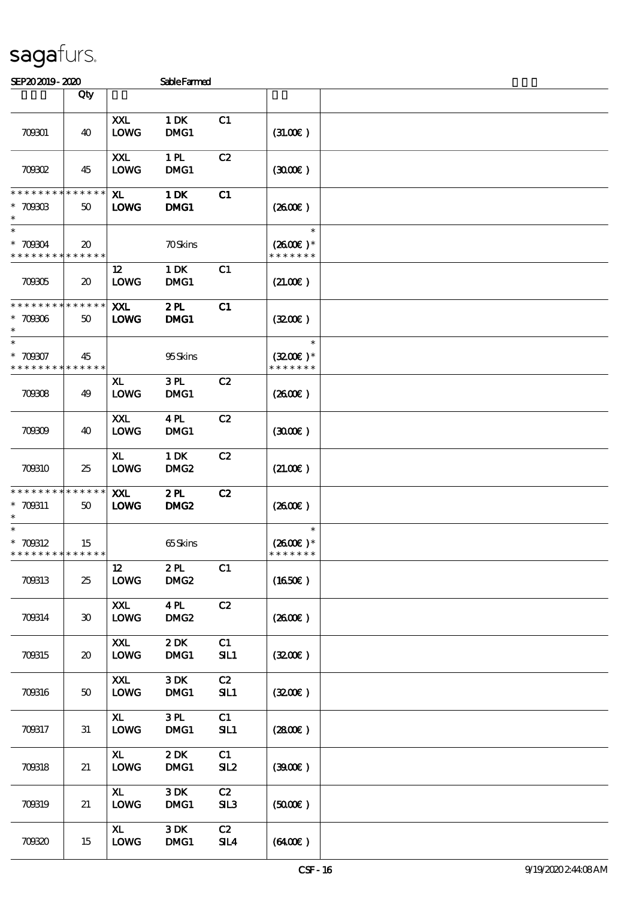| SEP202019-2020                                        |                                            |                               | <b>SableFarmed</b>         |           |                                       |  |
|-------------------------------------------------------|--------------------------------------------|-------------------------------|----------------------------|-----------|---------------------------------------|--|
|                                                       | Qty                                        |                               |                            |           |                                       |  |
| 70901                                                 | 40                                         | XXL<br><b>LOWG</b>            | 1 DK<br>DMG1               | C1        | (31.00)                               |  |
| 70002                                                 | 45                                         | XXL<br><b>LOWG</b>            | 1 <sub>H</sub><br>DMG1     | C2        | (300)                                 |  |
| * * * * * * * *<br>$* 7090B$<br>$\ast$                | $* * * * * * *$<br>50                      | XL.<br><b>LOWG</b>            | 1 DK<br>DMG1               | C1        | (260E)                                |  |
| $\ast$<br>$*70904$<br>* * * * * * * *                 | $\boldsymbol{\mathfrak{D}}$<br>* * * * * * |                               | <b>70Skins</b>             |           | $\ast$<br>$(2600)$ *<br>* * * * * * * |  |
| 70905                                                 | $\boldsymbol{\mathfrak{D}}$                | 12<br><b>LOWG</b>             | $1\,\mathrm{DK}$<br>DMG1   | C1        | (21.00)                               |  |
| * * * * * * * *<br>$* 70906$<br>$\ast$                | * * * * * *<br>50                          | <b>XXL</b><br><b>LOWG</b>     | 2PL<br>DMG1                | C1        | (320)                                 |  |
| $\ast$<br>$* 700007$<br>* * * * * * * *               | 45<br>* * * * * *                          |                               | 95Skins                    |           | $\ast$<br>$(3200)$ *<br>* * * * * * * |  |
| 70908                                                 | 49                                         | ${\bf x}$<br><b>LOWG</b>      | 3PL<br>DMG1                | C2        | (260E)                                |  |
| 70809                                                 | 40                                         | XXL<br><b>LOWG</b>            | 4PL<br>DMG1                | C2        | (300)                                 |  |
| 700310                                                | 25                                         | XL.<br><b>LOWG</b>            | 1 DK<br>DMG <sub>2</sub>   | C2        | (21.00)                               |  |
| * * * * * * * *<br>* 709311<br>$\ast$                 | * * * * * *<br>50                          | <b>XXL</b><br><b>LOWG</b>     | 2PL<br>DMG <sub>2</sub>    | C2        | $(2600\varepsilon)$                   |  |
| $\ast$<br>$* 700312$<br>* * * * * * * * * * * * * * * | 15                                         |                               | 65Skins                    |           | $\ast$<br>$(2600)$ *<br>* * * * * * * |  |
| 700313                                                | 25                                         | 12<br><b>LOWG</b>             | 2PL<br>DMG <sub>2</sub>    | C1        | (1650)                                |  |
| 700314                                                | 30                                         | XXL<br><b>LOWG</b>            | 4PL<br>DMG <sub>2</sub>    | C2        | (260E)                                |  |
| 700315                                                | $\boldsymbol{\mathfrak{D}}$                | XXL<br><b>LOWG</b>            | 2DK<br>DMC1                | C1<br>SL1 | (320)                                 |  |
| 700316                                                | $50^{\circ}$                               | XXL<br><b>LOWG</b>            | 3DK<br>DMG1                | C2<br>SL1 | (3200)                                |  |
| 700317                                                | 31                                         | X <sub>L</sub><br><b>LOWG</b> | $3 \, \mathrm{RL}$<br>DMG1 | C1<br>SL1 | (2800)                                |  |
| 700318                                                | 21                                         | X <sub>L</sub><br><b>LOWG</b> | 2DK<br>DMC1                | C1<br>SL2 | (3900)                                |  |
| 70319                                                 | 21                                         | $\mathbf{X}$<br><b>LOWG</b>   | 3DK<br>DMG1                | C2<br>SL3 | (5000)                                |  |
| 70820                                                 | 15                                         | $\mathbf{X}$<br><b>LOWG</b>   | 3DK<br>DMG1                | C2<br>SLA | (6400)                                |  |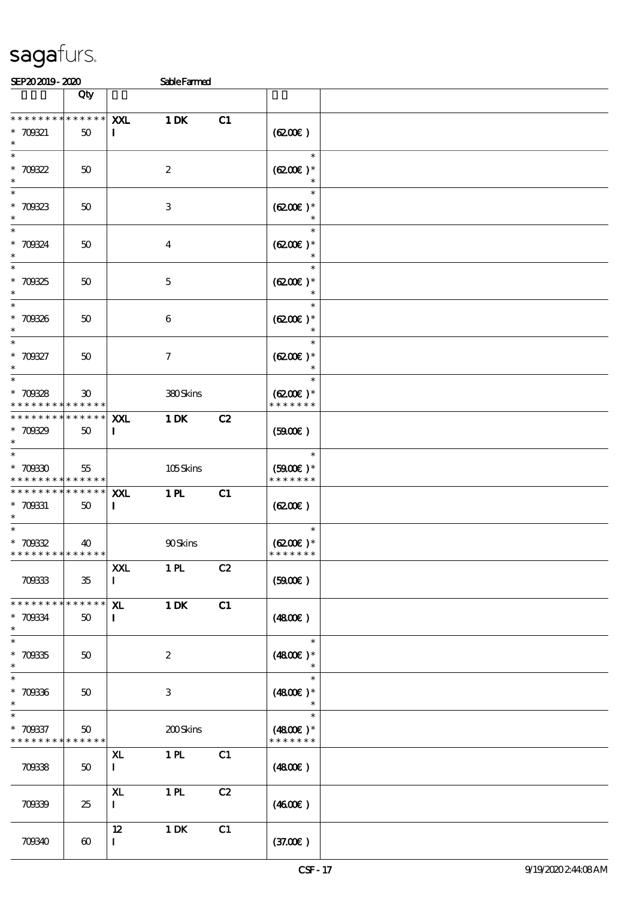| SEP202019-2020                                                                     |                                    |                               | <b>SableFarmed</b>        |    |                                       |  |
|------------------------------------------------------------------------------------|------------------------------------|-------------------------------|---------------------------|----|---------------------------------------|--|
|                                                                                    | Qty                                |                               |                           |    |                                       |  |
| * * * * * * * *<br>$* 700321$<br>$\ast$                                            | $******$<br>50                     | XXL<br>$\mathbf I$            | 1 DK                      | C1 | (6200)                                |  |
| $\overline{\ast}$<br>* $700322$<br>$\ast$                                          | 50                                 |                               | $\boldsymbol{z}$          |    | $\ast$<br>$(6200)$ *                  |  |
| * 70823                                                                            | 50                                 |                               | $\ensuremath{\mathsf{3}}$ |    | $\ast$<br>$(6200)$ *                  |  |
| * 70824<br>$\ast$<br>$\overline{\phantom{0}}$                                      | 50                                 |                               | $\overline{\mathbf{4}}$   |    | $\ast$<br>$(6200)$ *                  |  |
| $*700325$<br>$\ast$<br>$\overline{\phantom{0}}$                                    | 50                                 |                               | $\mathbf 5$               |    | $\ast$<br>$(6200)$ *<br>$\ast$        |  |
| $* 700336$<br>$\ast$<br>$\overline{\ast}$                                          | 50                                 |                               | 6                         |    | $\ast$<br>$(6200)$ *<br>$\ast$        |  |
| $* 700327$<br>$\ast$<br>$\overline{\ast}$                                          | 50                                 |                               | $\tau$                    |    | $\ast$<br>$(6200)$ *<br>$\ast$        |  |
| $* 700328$<br>* * * * * * * *                                                      | 30 <sup>°</sup><br>$* * * * * * *$ |                               | 380Skins                  |    | $\ast$<br>$(6200)$ *<br>* * * * * * * |  |
| * * * * * * * *<br>$*700329$<br>$\ast$                                             | $* * * * * * *$<br>50              | XXL<br>$\mathbf{I}$           | 1 DK                      | C2 | (5000)                                |  |
| $* 70030$<br>* * * * * * * *                                                       | 55<br>* * * * * *                  |                               | 105Skins                  |    | $\ast$<br>$(5900E)*$<br>* * * * * * * |  |
| * * * * * * * *<br>$* 700331$<br>$*$                                               | $* * * * * * *$<br>50              | <b>XXL</b><br>$\mathbf{I}$    | 1 <sub>H</sub>            | C1 | (6200)                                |  |
| * $70032$<br>* * * * * * * * * * * * * *                                           | 40                                 |                               | <b>90Skins</b>            |    | $\ast$<br>$(6200)$ *<br>* * * * * * * |  |
| 70833                                                                              | $35\,$                             | <b>XXL</b><br>$\mathbf{I}$    | 1 <sub>H</sub>            | C2 | (5000)                                |  |
| * * * * * * * * <mark>* * * * * *</mark><br>* 70834<br>$\ast$<br>$\overline{\ast}$ | 50                                 | X <sub>L</sub><br>$\mathbf I$ | 1 DK                      | C1 | $(4800\varepsilon)$<br>$\ast$         |  |
| $* 700335$<br>$\ast$<br>$\ast$                                                     | 50                                 |                               | $\boldsymbol{2}$          |    | $(4800)$ *<br>$\ast$                  |  |
| $* 700336$<br>$\ast$<br>$\ast$                                                     | 50                                 |                               | 3                         |    | $(4800)$ *<br>$\ast$                  |  |
| $* 709337$<br>* * * * * * * *                                                      | 50<br>* * * * * *                  |                               | 200Skins                  |    | $(4800)$ *<br>* * * * * * *           |  |
| 70838                                                                              | 50                                 | XL<br>$\mathbf{I}$            | 1 <sub>H</sub>            | C1 | $(4800\varepsilon)$                   |  |
| 70839                                                                              | 25                                 | ${\bf x}$<br>$\mathbf I$      | 1 <sub>PL</sub>           | C2 | (460E)                                |  |
| 703340                                                                             | $\boldsymbol{\omega}$              | $12 \,$<br>$\mathbf{I}$       | 1 DK                      | C1 | (37.00)                               |  |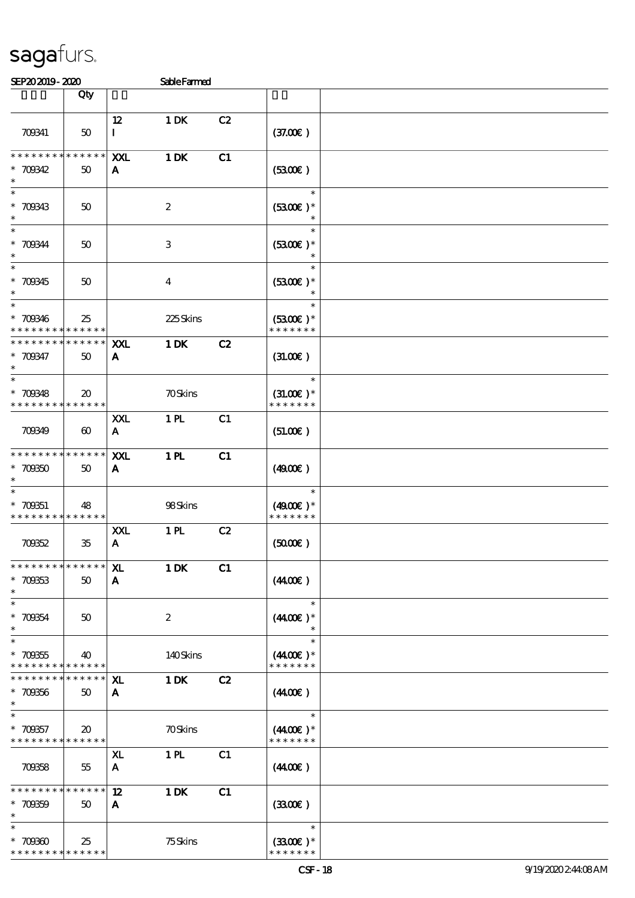| SEP202019-2020                                                 |                                                |                           | <b>Sable Farmed</b> |    |                                        |  |
|----------------------------------------------------------------|------------------------------------------------|---------------------------|---------------------|----|----------------------------------------|--|
|                                                                | Qty                                            |                           |                     |    |                                        |  |
| 709341                                                         | 50                                             | 12<br>$\bf{I}$            | 1 DK                | C2 | (37.00)                                |  |
| * * * * * * * *<br>$* 700342$<br>$\ast$                        | $* * * * * * *$<br>50                          | XXL<br>A                  | $1$ DK              | C1 | (3300)                                 |  |
| $\overline{\ast}$<br>$* 700343$<br>$\ast$                      | 50                                             |                           | $\boldsymbol{2}$    |    | $\ast$<br>$(5300)$ *                   |  |
| $\ast$<br>$* 700344$<br>$\ast$                                 | 50                                             |                           | $\,3$               |    | $\ast$<br>$(3300)$ *                   |  |
| $\overline{\ast}$<br>$* 700345$<br>$\ast$                      | 50                                             |                           | $\bf{4}$            |    | $\ast$<br>$(3300)$ *<br>$\ast$         |  |
| $\ast$<br>$* 700346$<br>* * * * * * * *                        | 25<br>* * * * * *                              |                           | 225Skins            |    | $\ast$<br>$(5300)$ *<br>* * * * * * *  |  |
| * * * * * * * *<br>* 70847<br>$\ast$                           | * * * * * *<br>$50^{\circ}$                    | XXL<br>A                  | $1$ DK              | C2 | (31.00)                                |  |
| $\ast$<br>$* 70848$<br>* * * * * * * *                         | $\boldsymbol{\mathfrak{D}}$<br>$* * * * * * *$ |                           | <b>70Skins</b>      |    | $\ast$<br>$(31.00)$ *<br>* * * * * * * |  |
| 70849                                                          | $\boldsymbol{\omega}$                          | XXL<br>$\mathbf{A}$       | 1 PL                | C1 | (51.00)                                |  |
| * * * * * * * *<br>$*700350$<br>$\ast$                         | * * * * * *<br>$50^{\circ}$                    | XXL<br>A                  | 1 <sub>H</sub>      | C1 | (490)                                  |  |
| $\ast$<br>$* 700351$<br>* * * * * * * * * * * * * *            | 48                                             |                           | 98Skins             |    | $\ast$<br>$(4900)$ *<br>* * * * * * *  |  |
| 70852                                                          | $35\,$                                         | XXL<br>$\mathbf{A}$       | 1 PL                | C2 | (5000)                                 |  |
| * * * * * * * * * * * * * *<br>$* 700333$<br>$\ast$            | 50                                             | ${\bf x}$<br>A            | 1 DK                | C1 | (440E)                                 |  |
| $\ast$<br>$* 70054$<br>$\ast$                                  | $50^{\circ}$                                   |                           | $\boldsymbol{2}$    |    | $\ast$<br>$(4400)$ *<br>$\ast$         |  |
| $\overline{\ast}$<br>$* 700355$<br>* * * * * * * * * * * * * * | 40                                             |                           | 140Skins            |    | $\ast$<br>$(4400)$ *<br>* * * * * * *  |  |
| * * * * * * * *<br>$*709356$<br>$\ast$                         | * * * * * *  <br>50                            | ${\bf X}$<br>$\mathbf{A}$ | 1 DK                | C2 | (440E)                                 |  |
| $\ast$<br>$*709357$<br>* * * * * * * * * * * * * *             | $\boldsymbol{\mathfrak{D}}$                    |                           | <b>70Skins</b>      |    | $\ast$<br>$(4400)$ *<br>* * * * * * *  |  |
| 70858                                                          | 55                                             | XL.<br>$\mathbf{A}$       | 1 <sub>H</sub>      | C1 | (440E)                                 |  |
| * * * * * * * *<br>$* 700359$<br>$\ast$                        | $* * * * * * *$<br>50                          | 12<br>A                   | $1$ DK              | C1 | (3300)                                 |  |
| $\ast$<br>$* 70000$<br>* * * * * * * * * * * * * *             | 25                                             |                           | 75Skins             |    | $\ast$<br>$(3300)$ *<br>* * * * * * *  |  |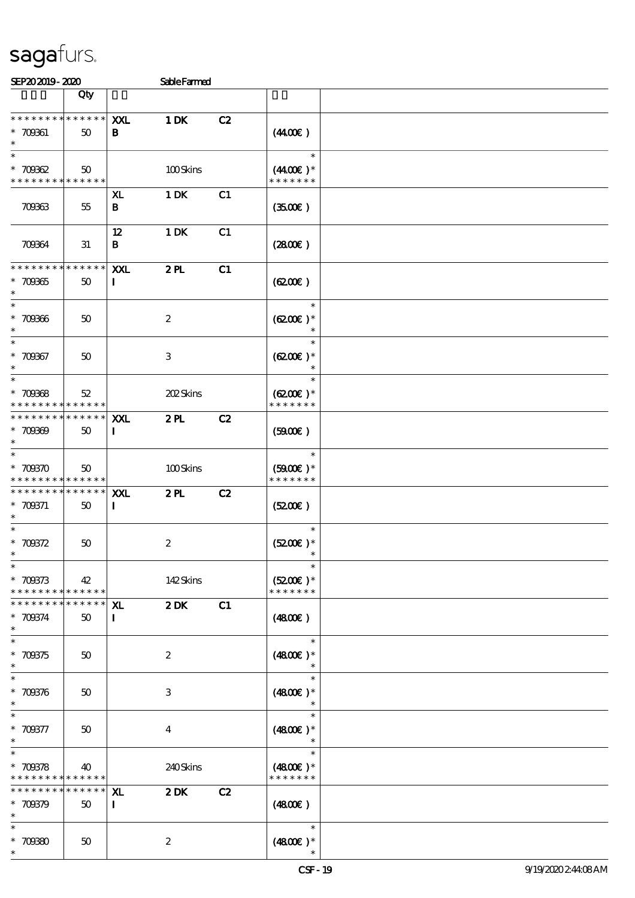| STP202010.2020 | Sable Farmed |
|----------------|--------------|

| JETAJAJIJ-ALAU                                                     |                   |                           | pareramen                 |    |                                              |  |
|--------------------------------------------------------------------|-------------------|---------------------------|---------------------------|----|----------------------------------------------|--|
|                                                                    | Qty               |                           |                           |    |                                              |  |
| * * * * * * * * * * * * * *<br>$* 700001$<br>$\ast$                | 50                | XXL<br>B                  | 1 DK                      | C2 | (440E)                                       |  |
| $\ast$<br>$* 70002$<br>* * * * * * * * <mark>* * * * * *</mark>    | $50^{\circ}$      |                           | 100Skins                  |    | $\ast$<br>$(440E)^*$<br>* * * * * * *        |  |
| 70963                                                              | 55                | XL<br>B                   | 1 DK                      | C1 | (350)                                        |  |
| 70964                                                              | 31                | 12<br>B                   | $1\,\mathrm{DK}$          | C1 | $(2800\varepsilon)$                          |  |
| * * * * * * * *<br>$* 70965$<br>$\ast$                             | * * * * * *<br>50 | XXL<br>$\bf{I}$           | 2PL                       | C1 | (6200)                                       |  |
| $\overline{\ast}$<br>$* 70966$<br>$\ast$                           | 50                |                           | $\boldsymbol{z}$          |    | $\ast$<br>$(6200)$ *<br>$\ast$               |  |
| $\ast$<br>$* 70967$<br>$\ast$                                      | 50                |                           | $\ensuremath{\mathsf{3}}$ |    | $\ast$<br>$(6200)$ *<br>$\ast$               |  |
| $\ast$<br>$* 70968$<br>* * * * * * * * * * * * * * *               | 52                |                           | 202Skins                  |    | $\ast$<br>$(6200\epsilon)*$<br>* * * * * * * |  |
| * * * * * * * * * * * * * * *<br>$* 70000$<br>$\ast$               | 50                | <b>XXL</b><br>$\mathbf I$ | 2PL                       | C2 | (5900)                                       |  |
| $\ast$<br>$* 700370$<br>* * * * * * * * <mark>* * * * * * *</mark> | 50                |                           | 100Skins                  |    | $\ast$<br>$(5900)$ *<br>* * * * * * *        |  |
| * * * * * * * *<br>$* 709371$<br>$\ast$                            | ******<br>50      | <b>XXL</b><br>$\bf{I}$    | 2PL                       | C2 | (5200)                                       |  |
| $\overline{\ast}$<br>$* 700372$<br>$\ast$                          | 50                |                           | $\boldsymbol{2}$          |    | $\ast$<br>$(5200\text{E})*$                  |  |
| $\ast$<br>$* 700373$<br>* * * * * * * * <mark>* * * * * *</mark>   | 42                |                           | 142Skins                  |    | $\ast$<br>$(5200)$ *<br>* * * * * * *        |  |
| * * * * * * * *<br>$* 709374$<br>$\ast$                            | * * * * * *<br>50 | ${\bf x}$<br>L            | 2DK                       | C1 | (4800)                                       |  |
| $\ast$<br>$*709375$<br>$\ast$                                      | 50                |                           | $\boldsymbol{2}$          |    | $\ast$<br>$(4800)$ *                         |  |
| $\ast$<br>$* 709376$<br>$\ast$                                     | 50                |                           | $\,3$                     |    | $\ast$<br>$(4800)$ *                         |  |
| $\ast$<br>$* 709377$<br>$\ast$<br>$\overline{\ast}$                | 50                |                           | $\bf{4}$                  |    | $\ast$<br>$(4800)$ *<br>$\ast$               |  |
| $* 700378$<br>* * * * *<br>* * *                                   | 40<br>* * * * * * |                           | 240Skins                  |    | $(4800)$ *<br>* * * * * * *                  |  |
| * * * * * * * *<br>$* 700379$<br>$\ast$                            | * * * * * *<br>50 | ${\bf x}$<br>$\mathbf I$  | 2DK                       | C2 | (4800)                                       |  |
| $\ast$<br>$*70080$<br>$\ast$                                       | 50                |                           | $\boldsymbol{2}$          |    | $\ast$<br>$(4800)$ *                         |  |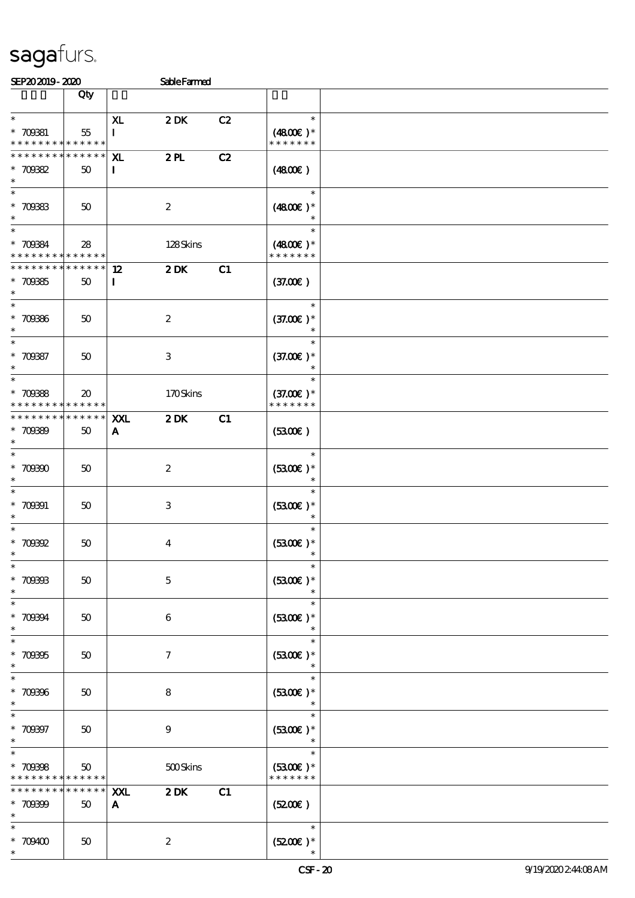| SEP202019-2020                                                     |                                      |                            | SableFarmed         |    |                                        |  |
|--------------------------------------------------------------------|--------------------------------------|----------------------------|---------------------|----|----------------------------------------|--|
|                                                                    | Qty                                  |                            |                     |    |                                        |  |
| $\ast$<br>$* 700381$<br>* * * * * * * * <mark>* * * * * * *</mark> | 55                                   | XL<br>I                    | 2DK                 | C2 | $\ast$<br>$(4800)$ *<br>* * * * * * *  |  |
| * * * * * * * *<br>$* 70082$<br>$\ast$                             | $* * * * * * *$<br>50                | ${\bf x}$<br>$\mathbf{I}$  | 2PL                 | C2 | (4800)                                 |  |
| $\ast$<br>$* 700333$<br>$\ast$                                     | 50                                   |                            | $\boldsymbol{2}$    |    | $\ast$<br>$(4800)$ *                   |  |
| $\ast$<br>$* 700334$<br>* * * * * * * * <mark>* * * * * *</mark>   | 28                                   |                            | 128Skins            |    | $\ast$<br>$(4800)$ *<br>* * * * * * *  |  |
| * * * * * * * *<br>$* 70035$<br>$\ast$                             | $\ast\ast\ast\ast\ast\ast$<br>$50\,$ | 12<br>$\mathbf{I}$         | $2$ DK              | C1 | (37.00)                                |  |
| $\ast$<br>$* 700366$<br>$\ast$                                     | 50                                   |                            | $\boldsymbol{2}$    |    | $\ast$<br>$(37.00)$ *<br>$\ast$        |  |
| $\ast$<br>$* 70087$<br>$\ast$                                      | 50                                   |                            | $\,3\,$             |    | $\ast$<br>$(37.00)$ *<br>$\ast$        |  |
| $\ast$<br>$* 70088$<br>* * * * * * * *                             | 20<br>* * * * * *                    |                            | 170Skins            |    | $\ast$<br>$(37.00)$ *<br>* * * * * * * |  |
| * * * * * * *<br>$* 70089$<br>$\ast$                               | * * * * * *<br>50                    | <b>XXL</b><br>$\mathbf{A}$ | 2DK                 | C1 | (5300)                                 |  |
| $\ast$<br>$* 70000$<br>$\ast$                                      | 50                                   |                            | $\boldsymbol{2}$    |    | $\ast$<br>$(5300)$ *                   |  |
| $\ast$<br>$* 700001$<br>$\ast$                                     | 50                                   |                            | $\,3\,$             |    | $\ast$<br>$(5300)$ *<br>$\ast$         |  |
| $\ast$<br>$^\ast$ 700002<br>$\ast$                                 | 50                                   |                            | $\boldsymbol{4}$    |    | $\ast$<br>$(3300)$ *<br>$\ast$         |  |
| $\ast$<br>$* 700003$<br>$\ast$                                     | 50                                   |                            | $\mathbf 5$         |    | $\ast$<br>$(3300)$ *                   |  |
| $\ast$<br>$* 70004$<br>$\ast$                                      | 50                                   |                            | 6                   |    | $\ast$<br>$(5300)$ *<br>$\ast$         |  |
| $\ast$<br>$* 709395$<br>$\ast$                                     | 50                                   |                            | $\boldsymbol{\tau}$ |    | $\ast$<br>$(5300)$ *                   |  |
| $\ast$<br>$* 709906$<br>$\ast$                                     | 50                                   |                            | $\bf 8$             |    | $\ast$<br>$(3300)$ *                   |  |
| $* 700007$<br>$\ast$                                               | 50                                   |                            | $\boldsymbol{9}$    |    | $\ast$<br>$(5300)$ *<br>$\ast$         |  |
| $\ast$<br>$* 709988$<br>* * * * * * *                              | 50<br>* * * * * *                    |                            | 500Skins            |    | $\ast$<br>$(3300)$ *<br>* * * * * * *  |  |
| * * * * * * *<br>$* 70000$<br>$\ast$                               | * * * * * *<br>50                    | XXL<br>$\mathbf{A}$        | 2DK                 | C1 | (5200)                                 |  |
| $\ast$<br>$*709400$<br>$\ast$                                      | 50                                   |                            | $\boldsymbol{2}$    |    | $\ast$<br>$(5200)$ *                   |  |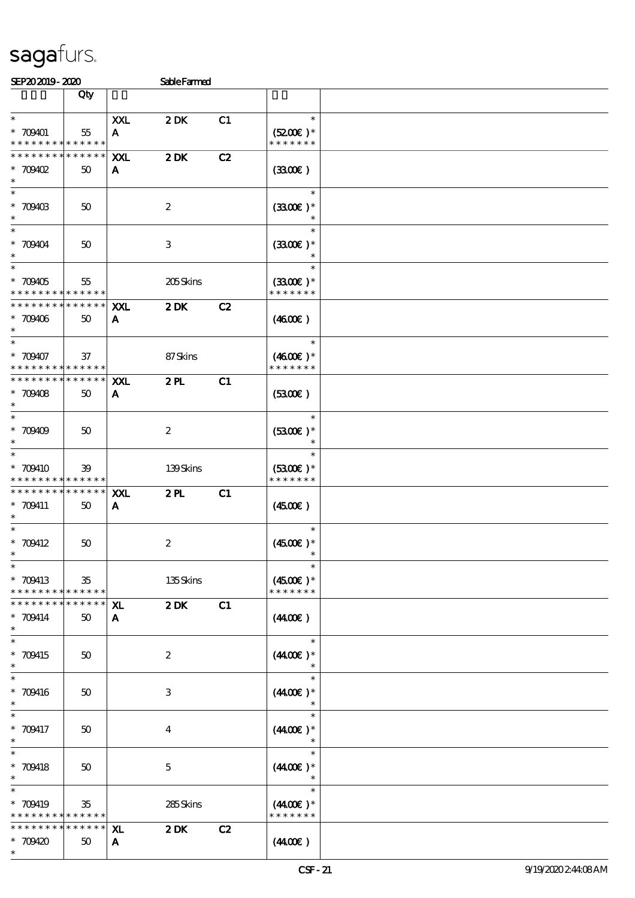| SEP202019-2020                                                   |                                  |                                | <b>SableFarmed</b> |    |                                       |  |
|------------------------------------------------------------------|----------------------------------|--------------------------------|--------------------|----|---------------------------------------|--|
|                                                                  | Qty                              |                                |                    |    |                                       |  |
| $\ast$<br>$* 709401$<br>* * * * * * * * * * * * * *              | 55                               | XXL<br>A                       | 2DK                | C1 | $\ast$<br>$(5200)$ *<br>* * * * * * * |  |
| * * * * * * * *<br>$*$ 709402<br>$\ast$                          | * * * * * *<br>50                | XXL<br>A                       | $2$ DK             | C2 | (330)                                 |  |
| $*$<br>$* 709403$<br>$\ast$                                      | 50                               |                                | $\boldsymbol{2}$   |    | $\ast$<br>$(3300)$ *                  |  |
| $\ast$<br>$* 709104$<br>$\ast$                                   | 50                               |                                | $\,3$              |    | $\ast$<br>$(3300)$ *                  |  |
| $\overline{\ast}$<br>$* 709405$<br>* * * * * * * *               | 55<br>$* * * * * * *$            |                                | 205Skins           |    | $\ast$<br>$(3300)$ *<br>* * * * * * * |  |
| * * * * * * * *<br>$* 70906$<br>$\ast$                           | * * * * * *<br>50                | XXL<br>A                       | 2DK                | C2 | (460E)                                |  |
| $\ast$<br>$* 709407$<br>* * * * * * * * <mark>* * * * * *</mark> | 37                               |                                | 87Skins            |    | $\ast$<br>$(4600)$ *<br>* * * * * * * |  |
| * * * * * * * *<br>$* 70908$<br>$\ast$<br>$\ast$                 | $\ast\ast\ast\ast\ast\ast$<br>50 | XXL<br>A                       | 2PL                | C1 | (5300)                                |  |
| $* 70909$<br>$\ast$<br>$\ast$                                    | 50                               |                                | $\boldsymbol{2}$   |    | $\ast$<br>$(5300)$ *<br>$\ast$        |  |
| * 709410<br>* * * * * * * *                                      | 39<br>* * * * * *                |                                | 139Skins           |    | $(5300)$ *<br>* * * * * * *           |  |
| * * * * * * * *<br>$* 709411$<br>$\ast$<br>$\ast$                | * * * * * *<br>50                | <b>XXL</b><br>$\mathbf{A}$     | 2PL                | C1 | $(4500\varepsilon)$<br>$\ast$         |  |
| $* 709412$<br>$*$<br>$\ast$                                      | 50                               |                                | $\boldsymbol{2}$   |    | $(4500)$ *<br>$\ast$<br>$\ast$        |  |
| * 709413<br>* * * * * * * * * * * * * * *                        | 35                               |                                | 135Skins           |    | $(4500)$ *<br>* * * * * * *           |  |
| * * * * * * * *<br>* 709414<br>$\ast$                            | $* * * * * * *$<br>50            | X <sub>L</sub><br>$\mathbf{A}$ | 2DK                | C1 | $(4400\varepsilon)$                   |  |
| $\ast$<br>* 709415<br>$\ast$<br>$\ast$                           | 50                               |                                | $\boldsymbol{2}$   |    | $\ast$<br>$(4400)$ *<br>$\ast$        |  |
| $* 709416$<br>$\ast$<br>$\ast$                                   | 50                               |                                | 3                  |    | $(440E)^*$<br>$\ast$                  |  |
| * 709417<br>$\ast$<br>$\ast$                                     | 50                               |                                | $\overline{4}$     |    | $(440E)^*$<br>$\ast$                  |  |
| $* 709418$<br>$\ast$<br>$\ast$                                   | 50                               |                                | $\mathbf 5$        |    | $(440E)^*$<br>$\ast$<br>$\ast$        |  |
| * 709419<br>* * * * * * * *<br>* * * * * * * *                   | $35\,$<br>* * * * * *            |                                | 285Skins           |    | $(440E)^*$<br>* * * * * * *           |  |
| $*709420$<br>$\ast$                                              | * * * * * *<br>50                | XL<br>$\mathbf{A}$             | 2DK                | C2 | (440E)                                |  |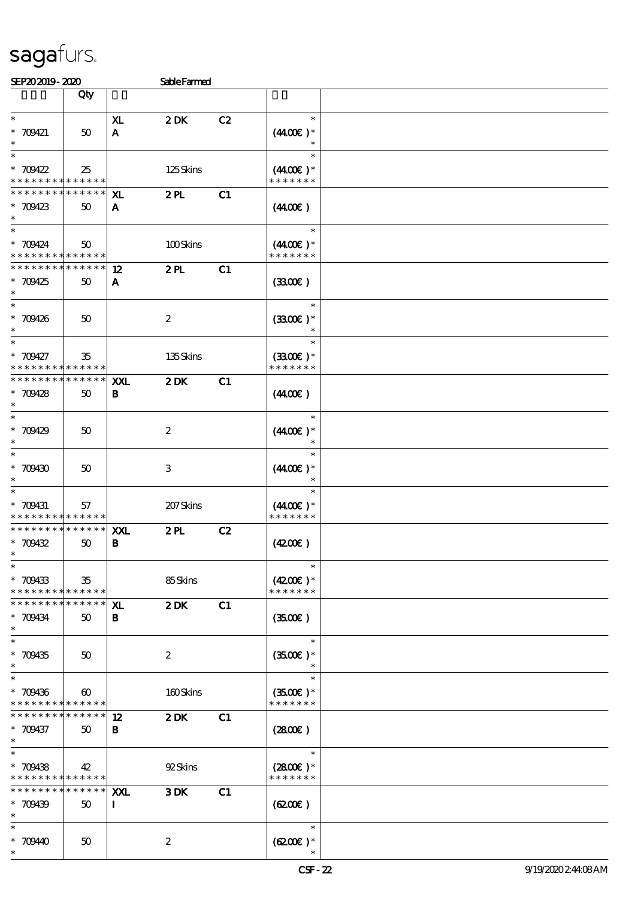| SEP202019-2020 | Sable Farmed |
|----------------|--------------|

| ali avadio- alav                                                 |                       |                    | particular       |    |                                                 |  |
|------------------------------------------------------------------|-----------------------|--------------------|------------------|----|-------------------------------------------------|--|
|                                                                  | Qty                   |                    |                  |    |                                                 |  |
| $\ast$<br>$* 709421$<br>$\ast$                                   | 50                    | XL<br>$\mathbf{A}$ | 2DK              | C2 | $\ast$<br>$(4400\varepsilon)*$                  |  |
| $\ast$<br>$* 709422$<br>* * * * * * * * <mark>* * * * * *</mark> | 25                    |                    | 125Skins         |    | $\ast$<br>$(4400\varepsilon)*$<br>* * * * * * * |  |
| * * * * * * * *<br>$* 709423$<br>$\ast$                          | * * * * * *<br>50     | XL<br>A            | 2PL              | C1 | (440E)                                          |  |
| $\ast$<br>$* 709424$<br>* * * * * * * * <mark>* * * * * *</mark> | 50                    |                    | 100Skins         |    | $\ast$<br>$(4400\varepsilon)*$<br>* * * * * * * |  |
| * * * * * * * *<br>$* 709425$<br>$\ast$                          | * * * * * *<br>50     | 12<br>A            | 2PL              | C1 | (330)                                           |  |
| $\overline{\ast}$<br>$* 709426$<br>$\ast$                        | $50^{\circ}$          |                    | $\boldsymbol{2}$ |    | $\ast$<br>$(3300)$ *                            |  |
| $\ast$<br>$* 709427$<br>* * * * * * * * <mark>* * * * * *</mark> | 35                    |                    | 135Skins         |    | $\ast$<br>$(3300)$ *<br>* * * * * * *           |  |
| * * * * * * * *<br>$* 709428$<br>$\ast$                          | * * * * * *  <br>50   | XXL<br>B           | 2DK              | C1 | (440E)                                          |  |
| $\ast$<br>$* 709429$<br>$\ast$                                   | 50                    |                    | $\boldsymbol{2}$ |    | $\ast$<br>$(440E)^*$                            |  |
| $\ast$<br>$* 709430$<br>$\ast$                                   | 50                    |                    | 3                |    | $\ast$<br>$(440E)^*$                            |  |
| $\ast$<br>$* 709431$<br>* * * * * * * * * * * * * *              | 57                    |                    | 207Skins         |    | $\ast$<br>$(440E)*$<br>* * * * * * *            |  |
| * * * * * * * *<br>$* 709432$<br>$\ast$                          | * * * * * *<br>50     | XXL<br>В           | 2PL              | C2 | (420)                                           |  |
| $\ast$<br>$* 709433$<br>* * * * * * * * <mark>* * * * * *</mark> | 35                    |                    | 85Skins          |    | $\ast$<br>$(4200)$ *<br>* * * * * * *           |  |
| * * * * * * * *<br>$* 709434$<br>$\ast$                          | * * * * * *<br>50     | ${\bf x}$<br>B     | 2DK              | C1 | (350)                                           |  |
| $\ast$<br>$* 709435$<br>$\ast$                                   | 50                    |                    | $\boldsymbol{2}$ |    | $\ast$<br>$(3500)$ *                            |  |
| $\ast$<br>$* 709436$<br>* * * * * * * * * * * * * *              | $\boldsymbol{\omega}$ |                    | 160Skins         |    | $\ast$<br>$(3500\text{E})*$<br>* * * * * * *    |  |
| * * * * * * * *<br>* 709437<br>$\ast$                            | * * * * * *<br>$50\,$ | 12<br>B            | 2DK              | C1 | (280)                                           |  |
| $\ast$<br>$* 709438$<br>* * * * *<br>* * *                       | 42<br>* * * * * *     |                    | 92Skins          |    | $\ast$<br>$(2800)$ *<br>* * * * * * *           |  |
| * * * * * * * *<br>$* 709439$<br>$\ast$                          | * * * * * *<br>50     | XXL<br>$\mathbf I$ | 3DK              | C1 | (6200)                                          |  |
| $\ast$<br>$*70940$<br>$\ast$                                     | 50                    |                    | $\boldsymbol{2}$ |    | $\ast$<br>$(6200)$ *                            |  |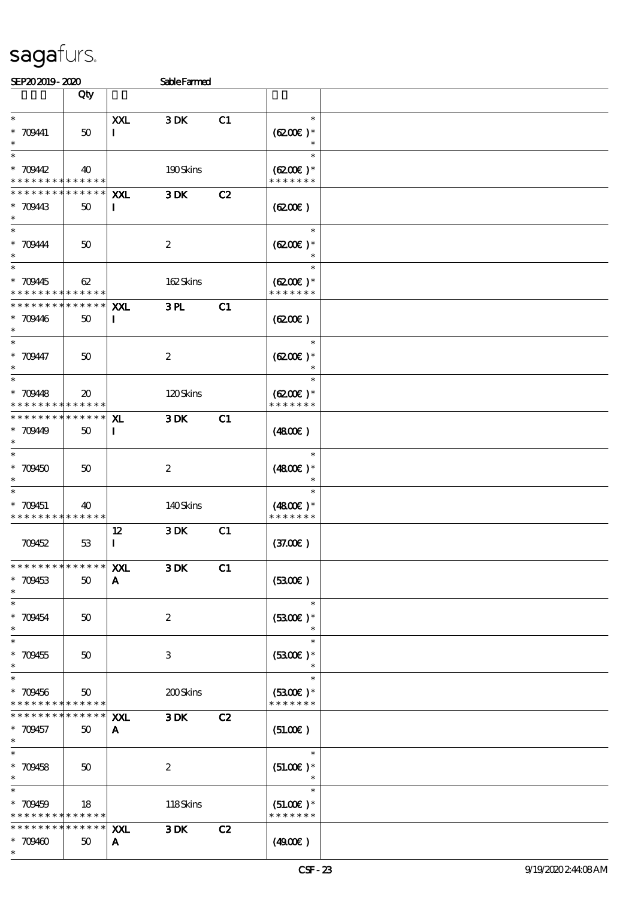\*

| SEP202019-2020                                           |                                  |                         | <b>Sable Farmed</b>       |    |                                                  |  |
|----------------------------------------------------------|----------------------------------|-------------------------|---------------------------|----|--------------------------------------------------|--|
|                                                          | Qty                              |                         |                           |    |                                                  |  |
| $\ast$<br>$* 70941$<br>$\ast$                            | 50                               | XXL<br>$\bf{I}$         | 3DK                       | C1 | $\ast$<br>$(6200)$ *                             |  |
| $\ast$<br>$* 70942$<br>* * * * * * * * * * * * * *       | 40                               |                         | 190Skins                  |    | $\ast$<br>$(6200)$ *<br>* * * * * * *            |  |
| * * * * * * * *<br>$* 70943$<br>$\ast$                   | $\ast\ast\ast\ast\ast\ast$<br>50 | XXL<br>$\bf{I}$         | 3DK                       | C2 | (6200)                                           |  |
| $\ast$<br>$*$ 709444<br>$\ast$<br>$\ast$                 | 50                               |                         | $\boldsymbol{2}$          |    | $\ast$<br>$(6200)$ *<br>$\ast$                   |  |
| * 709445<br>* * * * * * * * <mark>* * * * * * *</mark>   | 62                               |                         | 162Skins                  |    | $\ast$<br>$(6200)$ *<br>* * * * * * *            |  |
| * * * * * * * *<br>$* 70946$<br>$\ast$                   | $* * * * * * *$<br>50            | <b>XXL</b><br>$\bf{I}$  | 3PL                       | C1 | (6200)                                           |  |
| $\ast$<br>$* 70947$<br>$\ast$                            | 50                               |                         | $\boldsymbol{2}$          |    | $\ast$<br>$(6200)$ *                             |  |
| $\ast$<br>$* 70948$<br>* * * * * * * * * * * * * *       | $\boldsymbol{\mathfrak{D}}$      |                         | 120Skins                  |    | $\ast$<br>$(6200\text{E})*$<br>* * * * * * *     |  |
| * * * * * * * * <mark>* * * * * *</mark><br>$* 70949$    | 50                               | XL.<br>$\bf{I}$         | 3DK                       | C1 | (480)                                            |  |
| $\ast$<br>$*709450$<br>$\ast$                            | 50                               |                         | $\boldsymbol{2}$          |    | $\ast$<br>$(4800)$ *<br>$\overline{\phantom{a}}$ |  |
| $\ast$<br>* 709451<br>* * * * * * * * * * * * * *        | 40                               |                         | 140Skins                  |    | $\ast$<br>$(4800)$ *<br>* * * * * * *            |  |
| 709452                                                   | $5\!3$                           | $12 \,$<br>$\mathbf{I}$ | 3DK                       | C1 | (37.00)                                          |  |
| * * * * * * * *<br>$* 709453$<br>$\ast$                  | $******$<br>50                   | XXL<br>$\mathbf{A}$     | 3DK                       | C1 | (3300)                                           |  |
| $\ast$<br>$* 709454$<br>$\ast$                           | 50                               |                         | $\boldsymbol{2}$          |    | $\ast$<br>$(5300)$ *<br>$\ast$                   |  |
| $\ast$<br>$* 709455$<br>$\ast$<br>$\ast$                 | 50                               |                         | $\ensuremath{\mathbf{3}}$ |    | $\ast$<br>$(5300)$ *<br>$\ast$<br>$\ast$         |  |
| $* 709456$<br>* * * * * * * * <mark>* * * * * * *</mark> | 50                               |                         | 200Skins                  |    | $(5300)$ *<br>* * * * * * *                      |  |
| * * * * * * *<br>* 709457<br>$\ast$                      | * * * * * *<br>50                | XXI.<br>A               | 3DK                       | C2 | (51.00)                                          |  |
| $\ast$<br>$* 709458$<br>$\ast$<br>$\overline{\ast}$      | 50                               |                         | $\boldsymbol{2}$          |    | $\ast$<br>$(51.00)$ *                            |  |
| $* 709459$<br>* * * * * * * * <mark>* * * * * *</mark> * | 18                               |                         | 118Skins                  |    | $\ast$<br>$(51.00)$ *<br>* * * * * * *           |  |
| * * * * * * * * <mark>* * * * * *</mark><br>$* 709460$   | 50                               | <b>XXL</b><br>A         | 3DK                       | C2 | (4900)                                           |  |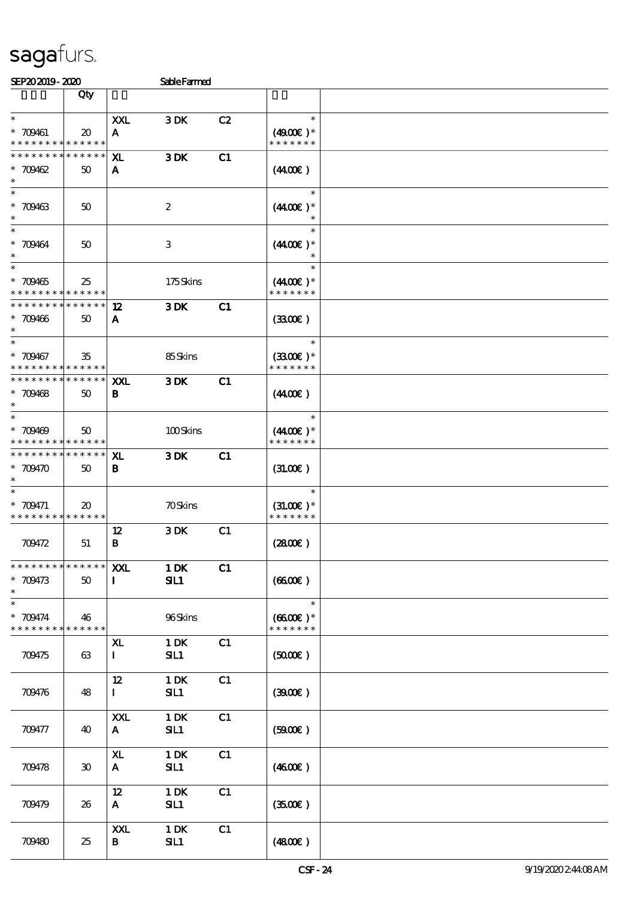| SEP202019-2020                                                   |                                  |                              | <b>SableFarmed</b>        |    |                                        |  |
|------------------------------------------------------------------|----------------------------------|------------------------------|---------------------------|----|----------------------------------------|--|
|                                                                  | Qty                              |                              |                           |    |                                        |  |
| $\ast$<br>$* 709461$<br>* * * * * * * * <mark>* * * * * *</mark> | $\boldsymbol{\mathfrak{D}}$      | XXL<br>A                     | 3DK                       | C2 | $\ast$<br>$(4900)$ *<br>* * * * * * *  |  |
| * * * * * * * *<br>$* 709462$<br>$\ast$                          | * * * * * *<br>50                | ${\bf x}$<br>A               | 3DK                       | C1 | (440E)                                 |  |
| $\ast$<br>$* 709463$<br>$\ast$                                   | 50                               |                              | $\boldsymbol{2}$          |    | $\ast$<br>$(4400)$ *                   |  |
| $\ast$<br>$* 709464$<br>$\ast$                                   | 50                               |                              | $\ensuremath{\mathbf{3}}$ |    | $\ast$<br>$(4400)$ *                   |  |
| $\overline{\ast}$<br>$* 709465$<br>* * * * * * * *               | 25<br>* * * * * *                |                              | 175Skins                  |    | $\ast$<br>$(440E)^*$<br>* * * * * * *  |  |
| * * * * * * * *<br>$* 709466$<br>$\ast$                          | * * * * * *<br>50                | 12<br>A                      | 3DK                       | C1 | (3300)                                 |  |
| $\ast$<br>* 709467<br>* * * * * * * * * * * * * *                | 35                               |                              | 85Skins                   |    | $\ast$<br>$(3300)$ *<br>* * * * * * *  |  |
| * * * * * * * *<br>$* 709468$<br>$\ast$                          | $\ast\ast\ast\ast\ast\ast$<br>50 | XXL<br>В                     | 3DK                       | C1 | (440E)                                 |  |
| $\ast$<br>$*709469$<br>* * * * * * * * <mark>* * * * * *</mark>  | 50                               |                              | 100Skins                  |    | $\ast$<br>$(440E)^*$<br>* * * * * * *  |  |
| * * * * * * * *<br>$* 709470$<br>$\ast$                          | * * * * * *<br>50                | ${\bf x}$<br>B               | 3DK                       | C1 | (31.00)                                |  |
| $\ast$<br>$* 709471$<br>* * * * * * * * * * * * * *              | $\boldsymbol{\mathfrak{D}}$      |                              | <b>70Skins</b>            |    | $\ast$<br>$(31.00)$ *<br>* * * * * * * |  |
| 709472                                                           | 51                               | 12<br>$\, {\bf B}$           | 3DK                       | C1 | $(2800\varepsilon)$                    |  |
| * * * * * * * *<br>* 709473<br>$\ast$                            | ******<br>50                     | XXL<br>$\blacksquare$        | $1$ DK<br>SL1             | C1 | (6600)                                 |  |
| $\ast$<br>* 709474<br>* * * * * * * * <mark>* * * * * * *</mark> | 46                               |                              | 96Skins                   |    | $\ast$<br>$(6600E)*$<br>* * * * * * *  |  |
| 709475                                                           | 63                               | XL<br>$\bf{I}$               | $1\,\mathrm{DK}$<br>SL1   | C1 | $(5000\varepsilon)$                    |  |
| 709476                                                           | 48                               | 12<br>$\mathbf{I}$           | $1\,\mathrm{DK}$<br>SL1   | C1 | (300)                                  |  |
| 709477                                                           | 40                               | XXL<br>$\mathbf{A}$          | $1$ DK<br>SL1             | C1 | (5000)                                 |  |
| 709478                                                           | 30                               | $\mathbf{X}$<br>$\mathbf{A}$ | $1$ DK<br>SL1             | C1 | (4600E)                                |  |
| 709479                                                           | 26                               | 12<br>$\mathbf{A}$           | $1$ DK<br>SL1             | C1 | (3500)                                 |  |
| 709480                                                           | 25                               | XXL<br>B                     | 1 DK<br>SL1               | C1 | (480E)                                 |  |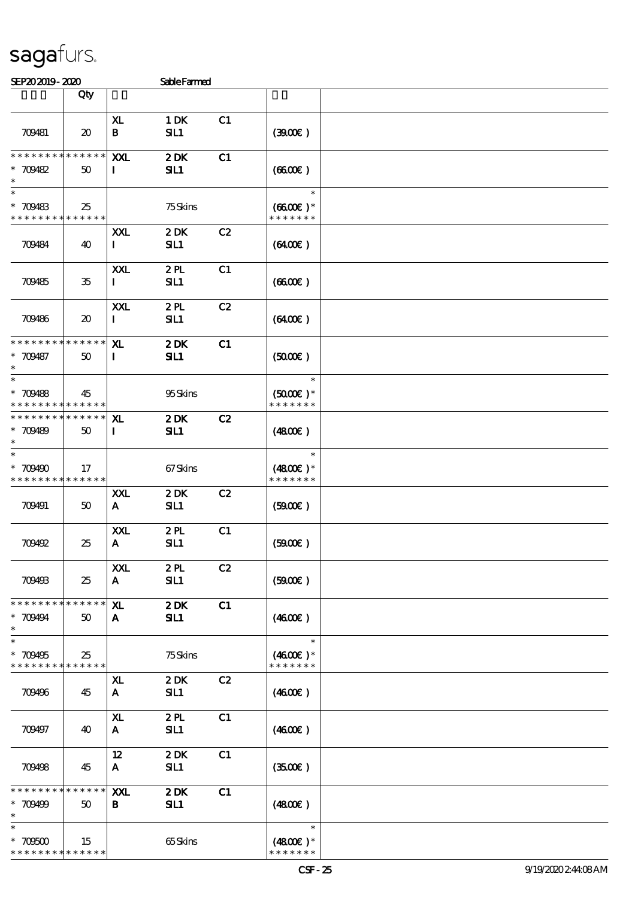| SEP202019-2020 | <b>Sable Farmed</b> |
|----------------|---------------------|

| an avario- alav                                                     |                                     |                                                    | <b>CALC PALLEU</b> |    |                                                 |  |
|---------------------------------------------------------------------|-------------------------------------|----------------------------------------------------|--------------------|----|-------------------------------------------------|--|
|                                                                     | Qty                                 |                                                    |                    |    |                                                 |  |
| 709481                                                              | $\boldsymbol{\mathfrak{D}}$         | XL<br>B                                            | 1 DK<br>SL1        | C1 | (300)                                           |  |
| * * * * * * * *<br>$* 709482$<br>$\ast$                             | * * * * * *<br>50                   | XXL<br>$\mathbf{I}$                                | 2DK<br>SL1         | C1 | (660)                                           |  |
| $\ast$<br>$* 709483$<br>* * * * * * * * * * * * * *                 | 25                                  |                                                    | 75Skins            |    | $\ast$<br>$(6600\text{E})*$<br>* * * * * * *    |  |
| 709484                                                              | 40                                  | XXL<br>$\bf{I}$                                    | 2DK<br>SL1         | C2 | (6400)                                          |  |
| 709485                                                              | 35                                  | XXL<br>$\mathbf{I}$                                | 2PL<br>SL1         | C1 | (660)                                           |  |
| 709486                                                              | $\boldsymbol{\boldsymbol{\lambda}}$ | XXL<br>$\mathbf I$                                 | 2PL<br>SL1         | C2 | (6400)                                          |  |
| * * * * * * * *<br>* 709487<br>$\ast$                               | * * * * * *<br>50                   | X <sub>L</sub><br>$\bf{I}$                         | 2DK<br>SL1         | C1 | (5000)                                          |  |
| $\ast$<br>$* 709488$<br>* * * * * * * * <mark>* * * * * *</mark>    | 45                                  |                                                    | 95Skins            |    | $\ast$<br>$(5000\varepsilon)*$<br>* * * * * * * |  |
| * * * * * * * * * * * * * * *<br>$* 709489$<br>$\ast$               | 50                                  | XL.<br>$\bf{I}$                                    | 2DK<br>SL1         | C2 | (480)                                           |  |
| $\ast$<br>$*709490$<br>* * * * * * * * <mark>* * * * * *</mark>     | 17                                  |                                                    | 67Skins            |    | $\ast$<br>$(4800)$ *<br>* * * * * * *           |  |
| 709491                                                              | 50                                  | XXL<br>${\bf A}$                                   | 2DK<br>SL1         | C2 | (500)                                           |  |
| 709492                                                              | 25                                  | XXL<br>$\mathbf{A}$                                | 2PL<br>SL1         | C1 | $(5900)$                                        |  |
| 709493                                                              | 25                                  | $\mathbf{X} \mathbf{X} \mathbf{L}$<br>$\mathbf{A}$ | 2PL<br>SL1         | C2 | (5000)                                          |  |
| * * * * * * * *<br>$* 709494$<br>$\ast$                             | * * * * * *<br>50                   | ${\bf x}$<br>$\mathbf{A}$                          | 2DK<br>SL1         | C1 | (460E)                                          |  |
| $\ast$<br>$*709495$<br>* * * * * * * * <mark>* * * * * *</mark>     | 25                                  |                                                    | 75Skins            |    | $\ast$<br>$(4600)$ *<br>* * * * * * *           |  |
| 709496                                                              | 45                                  | ${\bf x}$<br>A                                     | 2DK<br>SIL1        | C2 | (460E)                                          |  |
| 709497                                                              | 40                                  | X <sub>L</sub><br>$\mathbf{A}$                     | 2PL<br>SL1         | C1 | (460E)                                          |  |
| 709498                                                              | 45                                  | 12<br>$\mathbf{A}$                                 | 2DK<br>SL1         | C1 | (3500)                                          |  |
| * * * * * * * *<br>$* 709499$<br>$\ast$                             | * * * * * *<br>50                   | XXL<br>B                                           | 2DK<br>SL1         | C1 | (4800)                                          |  |
| $\ast$<br>$^\ast$ 70600<br>* * * * * * * * <mark>* * * * * *</mark> | 15                                  |                                                    | 65Skins            |    | $\ast$<br>$(4800)$ *<br>* * * * * * *           |  |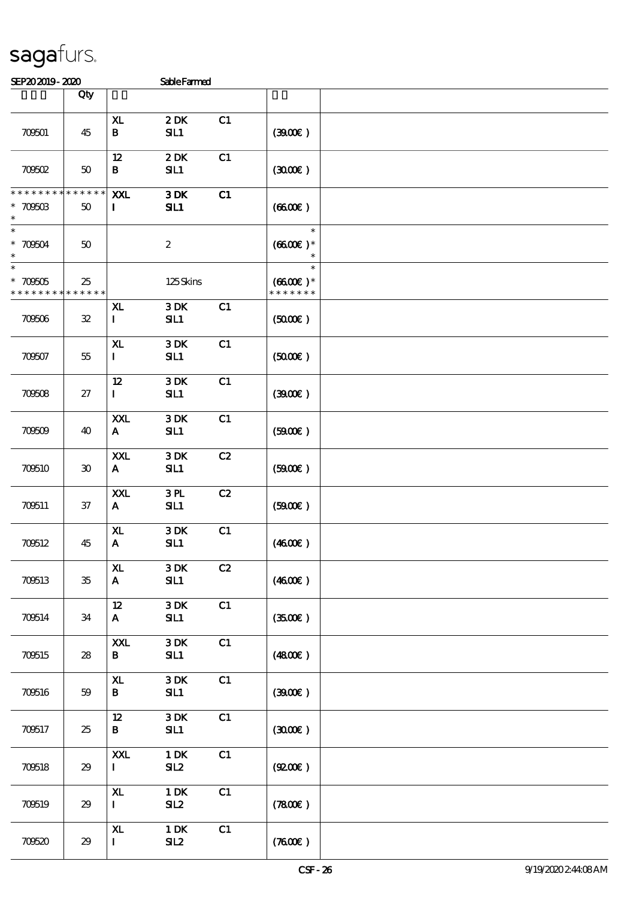| SEP202019-2020                                     |                   |                                        | <b>Sable Farmed</b>     |    |                                       |  |
|----------------------------------------------------|-------------------|----------------------------------------|-------------------------|----|---------------------------------------|--|
|                                                    | Qty               |                                        |                         |    |                                       |  |
| 709501                                             | 45                | XL.<br>$\, {\bf B}$                    | 2DK<br>SL1              | C1 | (300)                                 |  |
| 70002                                              | 50                | 12<br>$\bf{B}$                         | 2DK<br>SL1              | C1 | (300)                                 |  |
| * * * * * * * *<br>$* 7060B$<br>$\ast$             | * * * * * *<br>50 | XXL<br>$\mathbf I$                     | 3DK<br>SL1              | C1 | (6600)                                |  |
| $\ast$<br>$* 70004$<br>$\ast$                      | 50                |                                        | $\boldsymbol{2}$        |    | $\ast$<br>$(6600)$ *                  |  |
| $\overline{\ast}$<br>$* 700005$<br>* * * * * * * * | 25<br>* * * * * * |                                        | 125Skins                |    | $\ast$<br>$(6600E)*$<br>* * * * * * * |  |
| 709506                                             | ${\bf 32}$        | X <sub>L</sub><br>$\mathbf I$          | 3DK<br>SL1              | C1 | (5000)                                |  |
| 709507                                             | 55                | X <sub>L</sub><br>$\bf{I}$             | 3DK<br>SL1              | C1 | (5000)                                |  |
| 70608                                              | 27                | 12<br>$\mathbf{I}$                     | 3DK<br>SL1              | C1 | (300)                                 |  |
| 70609                                              | 40                | XXL<br>$\mathbf{A}$                    | 3DK<br>SIL1             | C1 | (B00E)                                |  |
| 709510                                             | 30                | XXL<br>A                               | 3DK<br>SIL1             | C2 | (5000)                                |  |
| 709511                                             | $37\,$            | XXL<br>$\mathbf{A}$                    | 3PL<br>SL1              | C2 | (5000)                                |  |
| 709512                                             | 45                | XL<br>$\mathbf{A}$                     | 3DK<br>SL1              | C1 | (460E)                                |  |
| 700513                                             | $35\,$            | X <sub>L</sub><br>$\mathbf{A}$         | 3DK<br>SL1              | C2 | (4600E)                               |  |
| 709514                                             | 34                | 12 <sup>°</sup><br>$\mathbf{A}$        | 3DK<br>SL1              | C1 | (3500)                                |  |
| 709515                                             | 28                | XXL<br>B                               | $3\,\mathrm{DK}$<br>SL1 | C1 | $(4800\varepsilon)$                   |  |
| 700516                                             | 59                | $\mathbf{X}\mathbf{L}$<br>B            | 3DK<br>SL1              | C1 | (300)                                 |  |
| 709517                                             | 25                | $12 \,$<br>B                           | 3DK<br>SL1              | C1 | (300)                                 |  |
| 709518                                             | 29                | XXL<br>$\mathbf{I}$                    | $1\,\mathrm{DK}$<br>SL2 | C1 | (Q200E)                               |  |
| 700519                                             | 29                | $\mathbf{X}\mathbf{L}$<br>$\mathbf{I}$ | $1$ DK<br>SL2           | C1 | (7800)                                |  |
| 70620                                              | 29                | ${\bf x}$<br>$\mathbf{I}$              | 1 DK<br>SL2             | C1 | (7600)                                |  |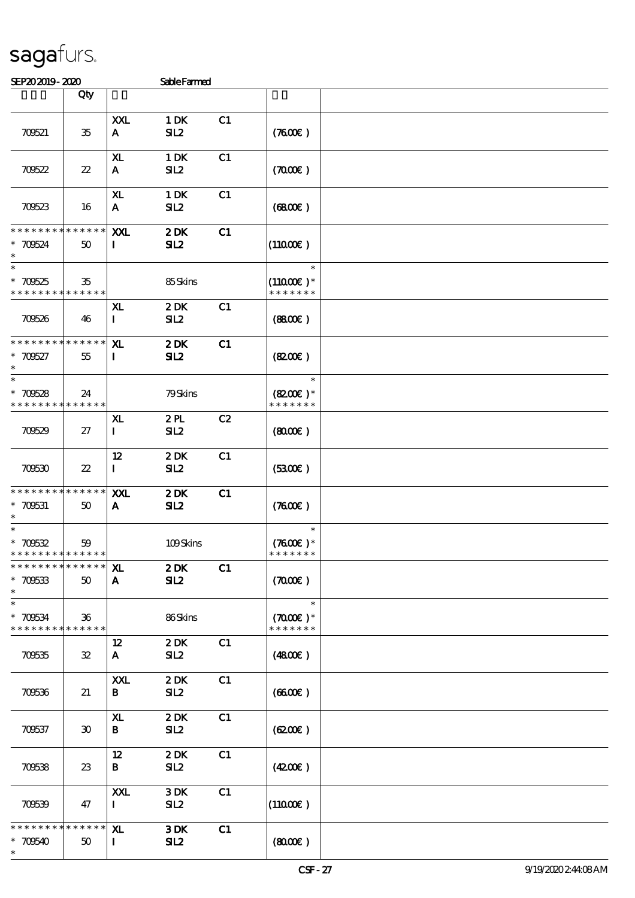709538 23

709539 47

\* \* \* \* \* \* \* \* \* \* \* \* \* \* \* \* 709540 50

\*

12 2 DK C1

XXL 3 DK C1<br>I SIL2

XL 3 DK C1

I SIL2

B SIL2  $(42.00\epsilon)$ 

I SIL2  $|(110.00\epsilon)|$ 

| SEP202019-2020                             |                             |                | <b>Sable Farmed</b> |    |                      |  |
|--------------------------------------------|-----------------------------|----------------|---------------------|----|----------------------|--|
|                                            | Qty                         |                |                     |    |                      |  |
|                                            |                             |                |                     |    |                      |  |
|                                            |                             | XXL            | 1 DK                | C1 |                      |  |
| 70621                                      | 35                          | A              | SL2                 |    | (7600)               |  |
|                                            |                             |                |                     |    |                      |  |
|                                            |                             | X <sub>L</sub> | $1\,\mathrm{DK}$    | C1 |                      |  |
| 70622                                      | $22\,$                      | A              | SL2                 |    | (700)                |  |
|                                            |                             |                |                     |    |                      |  |
|                                            |                             | X <sub>L</sub> | 1 DK                | C1 |                      |  |
| 70623                                      | 16                          | A              | SL2                 |    | (6800)               |  |
|                                            |                             |                |                     |    |                      |  |
| * * * * * * * * <mark>* * * * * * *</mark> |                             | XXL            | 2DK                 | C1 |                      |  |
| $* 70624$                                  | 50                          | 1              | SL2                 |    | $(11000\varepsilon)$ |  |
| $\ast$                                     |                             |                |                     |    |                      |  |
| $\ast$                                     |                             |                |                     |    | $\ast$               |  |
| $*700525$                                  | 35                          |                | 85Skins             |    | $(11000E)*$          |  |
| * * * * * * * * * * * * * *                |                             |                |                     |    | * * * * * * *        |  |
|                                            |                             | XL             | 2DK                 | C1 |                      |  |
| 709526                                     | 46                          | $\mathbf{I}$   | SL2                 |    | (880)                |  |
| * * * * * * * * * * * * * *                |                             |                |                     |    |                      |  |
|                                            |                             | ${\bf x}$      | 2DK                 | C1 |                      |  |
| $*70527$<br>$\ast$                         | 55                          | $\mathbf{I}$   | SL2                 |    | (820)                |  |
| $\ast$                                     |                             |                |                     |    | $\ast$               |  |
| $*70628$                                   | 24                          |                | 79Skins             |    | $(8200)$ *           |  |
| * * * * * * * * <mark>* * * * * *</mark>   |                             |                |                     |    | * * * * * * *        |  |
|                                            |                             | XL             | 2PL                 | C2 |                      |  |
| 70629                                      | 27                          | $\mathbf{I}$   | SL2                 |    | (800)                |  |
|                                            |                             |                |                     |    |                      |  |
|                                            |                             | 12             | 2DK                 | C1 |                      |  |
| 70630                                      | $22\,$                      | $\mathbf{I}$   | SL2                 |    | (3300)               |  |
|                                            |                             |                |                     |    |                      |  |
| * * * * * * * * * * * * * *                |                             | XXL            | 2DK                 | C1 |                      |  |
| $* 700531$                                 | 50                          | A              | SL2                 |    | (7600)               |  |
|                                            |                             |                |                     |    |                      |  |
| $\ast$                                     |                             |                |                     |    | $\ast$               |  |
| $* 70632$                                  | 59                          |                | 109Skins            |    | $(7600)$ *           |  |
| * * * * * * * * <mark>* * * * * * *</mark> |                             |                |                     |    | * * * * * * *        |  |
| * * * * * * * * * * * * * *                |                             | XL.            | 2DK                 | C1 |                      |  |
| $* 70633$                                  | 50                          | A              | SL2                 |    | (700)                |  |
| $\ast$                                     |                             |                |                     |    |                      |  |
| $\ast$                                     |                             |                |                     |    | $\ast$               |  |
| $* 70634$                                  | 36                          |                | 86Skins             |    | $(7000\text{E})*$    |  |
| * * * * * * * * * * * * * *                |                             |                |                     |    | * * * * * * *        |  |
|                                            |                             | $12 \,$        | 2DK                 | C1 |                      |  |
| 70635                                      | 32                          | A              | SL2                 |    | (4800)               |  |
|                                            |                             |                |                     |    |                      |  |
|                                            |                             | <b>XXL</b>     | $2$ DK              | C1 |                      |  |
| 70636                                      | 21                          | B              | SL2                 |    | (660)                |  |
|                                            |                             |                |                     |    |                      |  |
|                                            |                             | XL             | 2DK                 | C1 |                      |  |
| 70637                                      | $\boldsymbol{\mathfrak{D}}$ | B              | SL2                 |    | (6200)               |  |
|                                            |                             |                |                     |    |                      |  |

 $(800E)$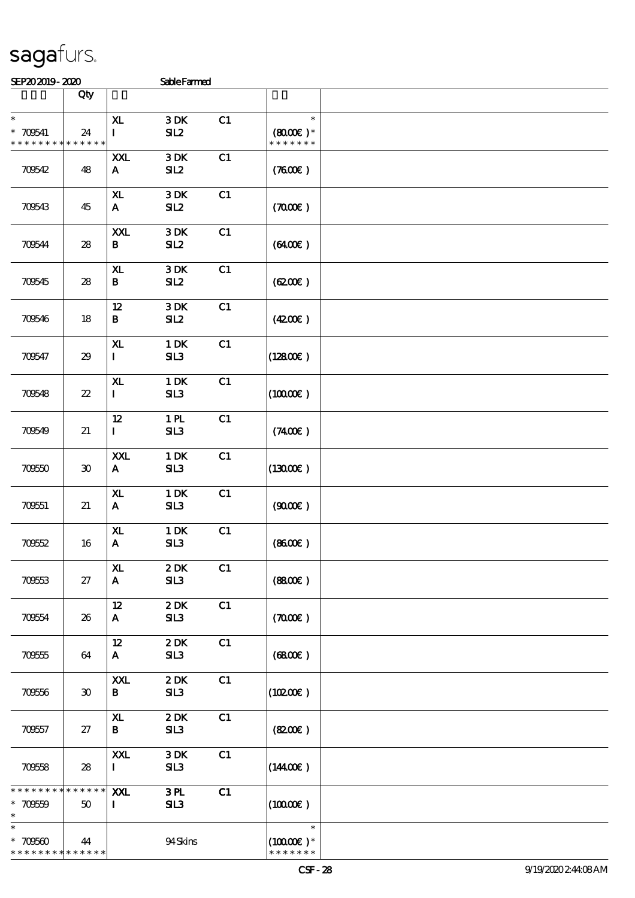| SEP202019-2020 | <b>Schle Farmed</b> |
|----------------|---------------------|

| JETAJAJIJ-ALAU                          |                             |                                | pareramen               |    |                                                 |  |
|-----------------------------------------|-----------------------------|--------------------------------|-------------------------|----|-------------------------------------------------|--|
|                                         | Qty                         |                                |                         |    |                                                 |  |
| $\ast$<br>$* 700541$<br>* * * * * * * * | 24<br>* * * * * *           | X <sub>L</sub><br>$\mathbf{I}$ | 3DK<br>SL2              | C1 | $\ast$<br>$(8000\varepsilon)*$<br>* * * * * * * |  |
| 70642                                   | 48                          | <b>XXL</b><br>$\mathbf{A}$     | 3DK<br>SL2              | C1 | (7600)                                          |  |
| 70643                                   | 45                          | ${\bf x}$<br>$\mathbf{A}$      | $3\,\mathrm{DK}$<br>SL2 | C1 | (700)                                           |  |
| 70644                                   | 28                          | XXL<br>B                       | 3DK<br>SL2              | C1 | $(6400\varepsilon)$                             |  |
| 709545                                  | 28                          | $\mathbf{X}$<br>$\bf{B}$       | 3DK<br>SL2              | C1 | (620)                                           |  |
| 70646                                   | 18                          | 12<br>$\bf{B}$                 | 3DK<br>SL2              | C1 | (420)                                           |  |
| 70647                                   | 29                          | XL<br>$\mathbf{I}$             | $1\,\mathrm{DK}$<br>SL3 | C1 | (12800)                                         |  |
| 700548                                  | $2\!2$                      | X <sub>L</sub><br>$\mathbf{I}$ | $1$ DK<br>SL3           | C1 | $(10000\varepsilon)$                            |  |
| 700549                                  | 21                          | 12<br>$\mathbf{I}$             | 1 <sub>H</sub><br>SL3   | C1 | (7400)                                          |  |
| 70650                                   | $\boldsymbol{\mathfrak{D}}$ | XXL<br>$\mathbf{A}$            | $1$ DK<br>SL3           | C1 | (1300E)                                         |  |
| 709551                                  | 21                          | ${\bf x}$<br>$\mathbf{A}$      | $1\,\mathrm{DK}$<br>SL3 | C1 | (900E)                                          |  |
| 70652                                   | 16                          | XL<br>${\bf A}$                | $1\,\mathrm{DK}$<br>SL3 | C1 | (860E)                                          |  |
| 70953                                   | 27                          | ${\bf x}$<br>$\mathbf{A}$      | 2DK<br>SL3              | C1 | (880)                                           |  |
| 709554                                  | 26                          | $12 \,$<br>$\mathbf{A}$        | 2DK<br>SL3              | C1 | (700)                                           |  |
| 709555                                  | 64                          | $12 \,$<br>$\mathbf{A}$        | 2DK<br>SL3              | C1 | (6800)                                          |  |
| 709556                                  | 30                          | XXL<br>B                       | 2DK<br>SL3              | C1 | (10200)                                         |  |
| 709557                                  | 27                          | XL<br>$\bf{B}$                 | 2DK<br>SL3              | C1 | (820)                                           |  |
| 70658                                   | 28                          | XXL<br>$\mathbf I$             | $3\,\mathrm{DK}$<br>SL3 | C1 | (1440E)                                         |  |
| * * * * * * * *<br>$* 700559$<br>$\ast$ | * * * * * *<br>50           | XXL<br>$\mathbf{I}$            | 3 <sub>H</sub><br>SL3   | C1 | (10000)                                         |  |
| $\ast$<br>$*700600$<br>* * * * * * * *  | 44<br>* * * * * *           |                                | 94Skins                 |    | $\ast$<br>$(10000\text{E})$ *<br>* * * * * * *  |  |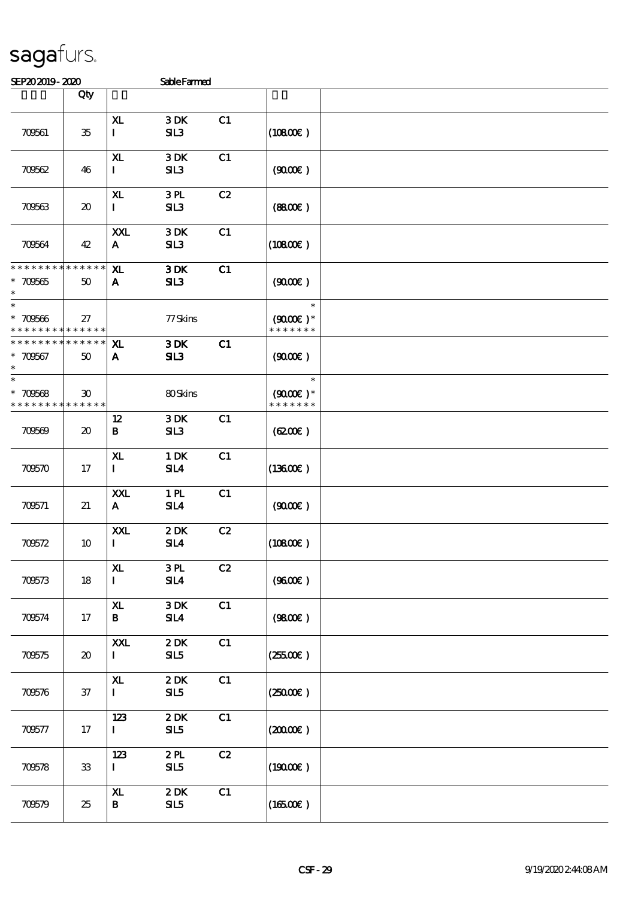| SEP202019-2020                                     |                                     |                                 | <b>SableFarmed</b>     |    |                                                 |  |
|----------------------------------------------------|-------------------------------------|---------------------------------|------------------------|----|-------------------------------------------------|--|
|                                                    | Qty                                 |                                 |                        |    |                                                 |  |
| 709561                                             | $35\,$                              | X <sub>L</sub><br>$\mathbf I$   | 3DK<br>SL3             | C1 | (10800)                                         |  |
| 70662                                              | 46                                  | ${\bf x}$<br>$\mathbf{I}$       | 3DK<br>SL3             | C1 | (900E)                                          |  |
| 70663                                              | $\boldsymbol{\mathfrak{D}}$         | ${\bf x}$<br>$\mathbf{I}$       | 3PL<br>SL3             | C2 | (880)                                           |  |
| 709564                                             | 42                                  | XXL<br>A                        | 3DK<br>SL3             | C1 | $(10800\varepsilon)$                            |  |
| * * * * * * * * * * * * * *<br>$* 70565$<br>$\ast$ | 50                                  | ${\bf x}$<br>$\mathbf{A}$       | 3DK<br>SL3             | C1 | (900)                                           |  |
| $\ast$<br>$* 70566$<br>* * * * * * * * * * * * * * | 27                                  |                                 | 77 Skins               |    | $\ast$<br>$(9000\varepsilon)*$<br>* * * * * * * |  |
| * * * * * * * *<br>$*700567$<br>$\ast$             | * * * * * *<br>50                   | X <sub>L</sub><br>$\mathbf{A}$  | 3DK<br>SL3             | C1 | (900)                                           |  |
| $\ast$<br>$* 70568$<br>* * * * * * * * * * * * * * | $\boldsymbol{\mathfrak{D}}$         |                                 | 80Skins                |    | $\ast$<br>$(9000\varepsilon)*$<br>* * * * * * * |  |
| 70669                                              | $\boldsymbol{\boldsymbol{\lambda}}$ | 12<br>B                         | 3DK<br>SL3             | C1 | (6200)                                          |  |
| 70670                                              | 17                                  | ${\bf x}$<br>$\mathbf{I}$       | $1$ DK<br>SL4          | C1 | $(13600\varepsilon)$                            |  |
| 709571                                             | 21                                  | <b>XXL</b><br>$\mathbf{A}$      | 1 <sub>PL</sub><br>SL4 | C1 | (900)                                           |  |
| 70672                                              | 10                                  | XXL<br>$\mathbf I$              | 2DK<br>SL4             | C2 | (10800)                                         |  |
| 70673                                              | 18                                  | X <sub>L</sub><br>$\mathbf{I}$  | 3PL<br>SL4             | C2 | (9600)                                          |  |
| 70674                                              | 17                                  | ${\bf x}$<br>B                  | 3DK<br>SL4             | C1 | (980)                                           |  |
| 70675                                              | $\boldsymbol{\mathfrak{D}}$         | XXL<br>$\mathbf{I}$             | 2DK<br>SL5             | C1 | (25500)                                         |  |
| 70676                                              | 37                                  | $\mathbf{X}$<br>$\mathbf{I}$    | 2DK<br>SL5             | C1 | $(25000\varepsilon)$                            |  |
| 70677                                              | 17                                  | 123<br>$\mathbf{I}$             | 2DK<br>SL5             | C1 | (2000E)                                         |  |
| 70678                                              | ${\bf 33}$                          | 123<br>$\mathbf{I}$             | 2PL<br>SL5             | C2 | (19000)                                         |  |
| 70679                                              | 25                                  | $\mathbf{X}$<br>$\, {\bf B} \,$ | 2DK<br>SL5             | C1 | (16500E)                                        |  |